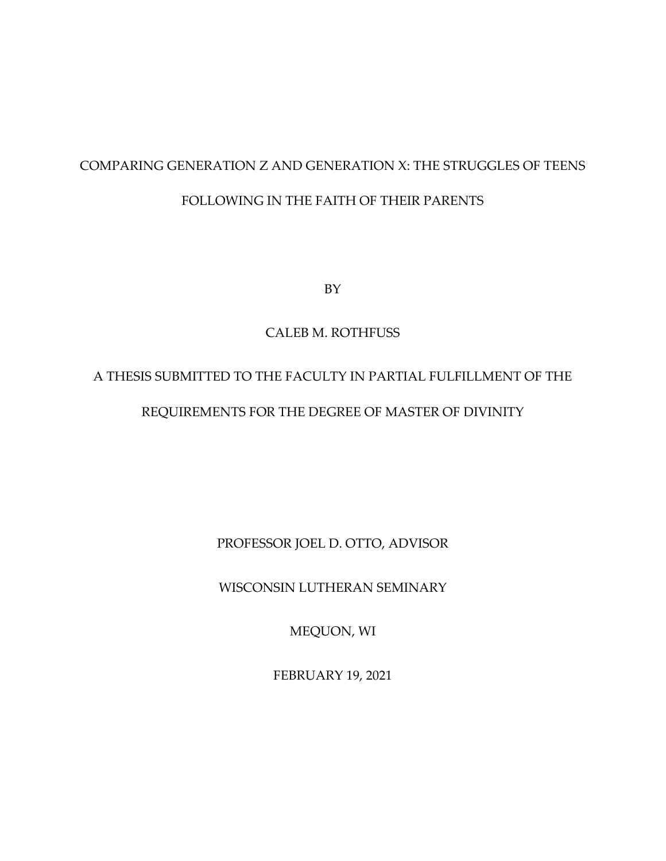# COMPARING GENERATION Z AND GENERATION X: THE STRUGGLES OF TEENS FOLLOWING IN THE FAITH OF THEIR PARENTS

BY

### CALEB M. ROTHFUSS

# A THESIS SUBMITTED TO THE FACULTY IN PARTIAL FULFILLMENT OF THE REQUIREMENTS FOR THE DEGREE OF MASTER OF DIVINITY

PROFESSOR JOEL D. OTTO, ADVISOR

WISCONSIN LUTHERAN SEMINARY

MEQUON, WI

FEBRUARY 19, 2021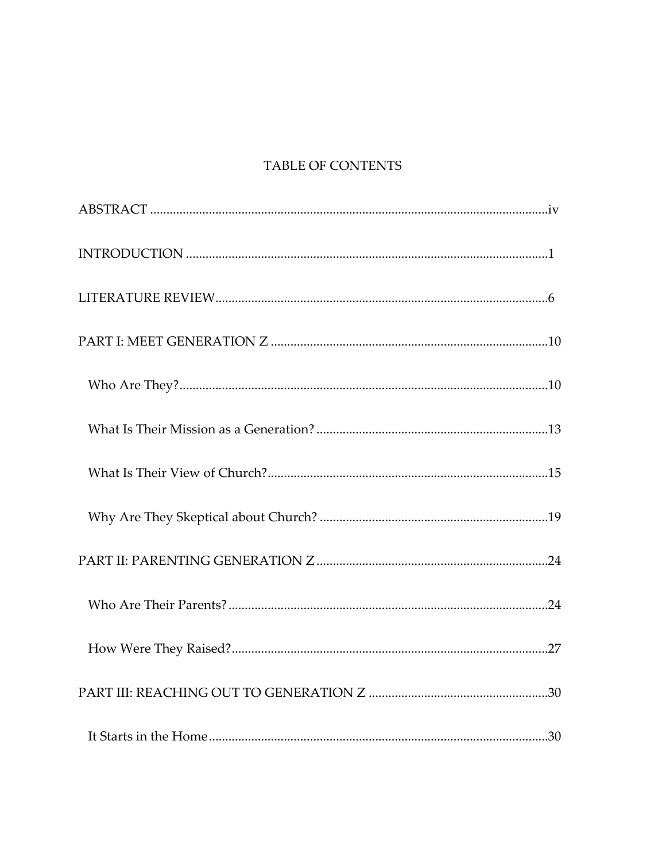## TABLE OF CONTENTS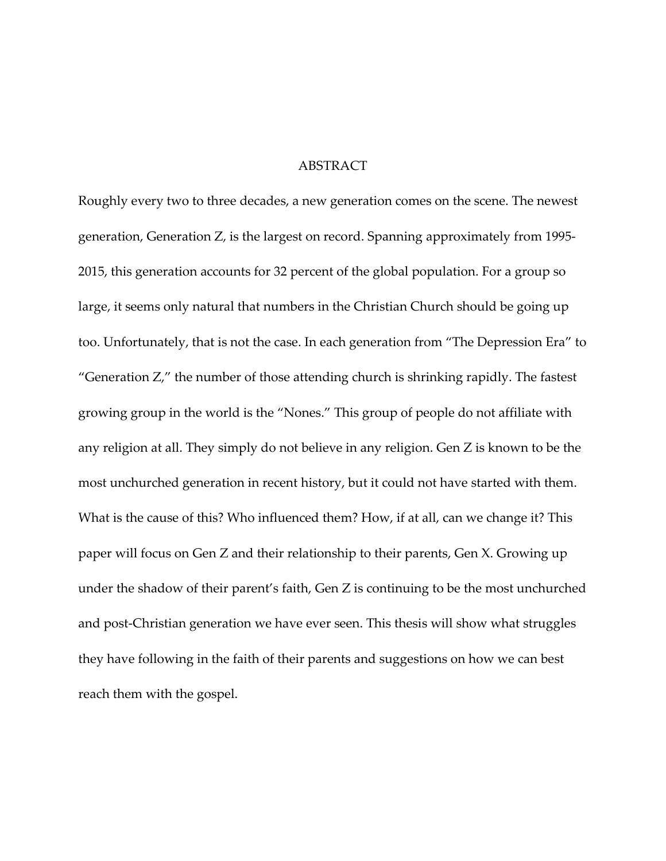#### ABSTRACT

Roughly every two to three decades, a new generation comes on the scene. The newest generation, Generation Z, is the largest on record. Spanning approximately from 1995- 2015, this generation accounts for 32 percent of the global population. For a group so large, it seems only natural that numbers in the Christian Church should be going up too. Unfortunately, that is not the case. In each generation from "The Depression Era" to "Generation Z," the number of those attending church is shrinking rapidly. The fastest growing group in the world is the "Nones." This group of people do not affiliate with any religion at all. They simply do not believe in any religion. Gen Z is known to be the most unchurched generation in recent history, but it could not have started with them. What is the cause of this? Who influenced them? How, if at all, can we change it? This paper will focus on Gen Z and their relationship to their parents, Gen X. Growing up under the shadow of their parent's faith, Gen Z is continuing to be the most unchurched and post-Christian generation we have ever seen. This thesis will show what struggles they have following in the faith of their parents and suggestions on how we can best reach them with the gospel.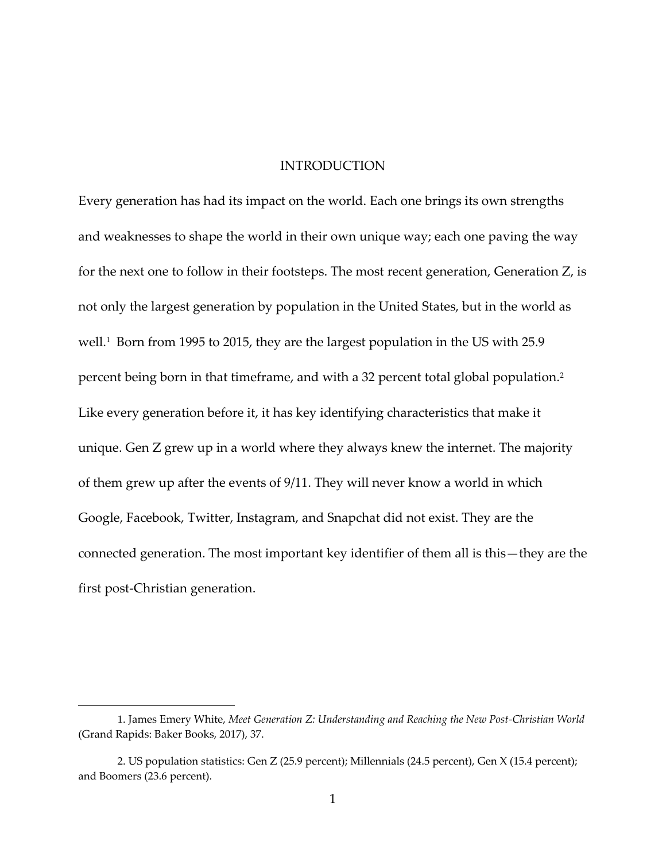#### INTRODUCTION

Every generation has had its impact on the world. Each one brings its own strengths and weaknesses to shape the world in their own unique way; each one paving the way for the next one to follow in their footsteps. The most recent generation, Generation Z, is not only the largest generation by population in the United States, but in the world as well.<sup>1</sup> Born from 1995 to 2015, they are the largest population in the US with 25.9 percent being born in that timeframe, and with a 32 percent total global population.<sup>2</sup> Like every generation before it, it has key identifying characteristics that make it unique. Gen Z grew up in a world where they always knew the internet. The majority of them grew up after the events of 9/11. They will never know a world in which Google, Facebook, Twitter, Instagram, and Snapchat did not exist. They are the connected generation. The most important key identifier of them all is this—they are the first post-Christian generation.

<sup>1.</sup> James Emery White, *Meet Generation Z: Understanding and Reaching the New Post-Christian World* (Grand Rapids: Baker Books, 2017), 37.

<sup>2.</sup> US population statistics: Gen Z (25.9 percent); Millennials (24.5 percent), Gen X (15.4 percent); and Boomers (23.6 percent).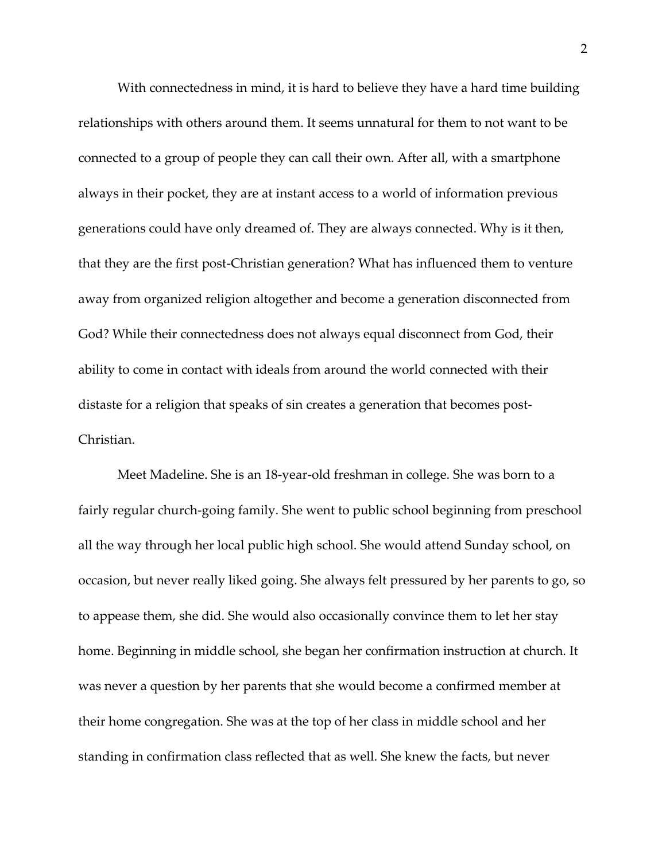With connectedness in mind, it is hard to believe they have a hard time building relationships with others around them. It seems unnatural for them to not want to be connected to a group of people they can call their own. After all, with a smartphone always in their pocket, they are at instant access to a world of information previous generations could have only dreamed of. They are always connected. Why is it then, that they are the first post-Christian generation? What has influenced them to venture away from organized religion altogether and become a generation disconnected from God? While their connectedness does not always equal disconnect from God, their ability to come in contact with ideals from around the world connected with their distaste for a religion that speaks of sin creates a generation that becomes post-Christian.

Meet Madeline. She is an 18-year-old freshman in college. She was born to a fairly regular church-going family. She went to public school beginning from preschool all the way through her local public high school. She would attend Sunday school, on occasion, but never really liked going. She always felt pressured by her parents to go, so to appease them, she did. She would also occasionally convince them to let her stay home. Beginning in middle school, she began her confirmation instruction at church. It was never a question by her parents that she would become a confirmed member at their home congregation. She was at the top of her class in middle school and her standing in confirmation class reflected that as well. She knew the facts, but never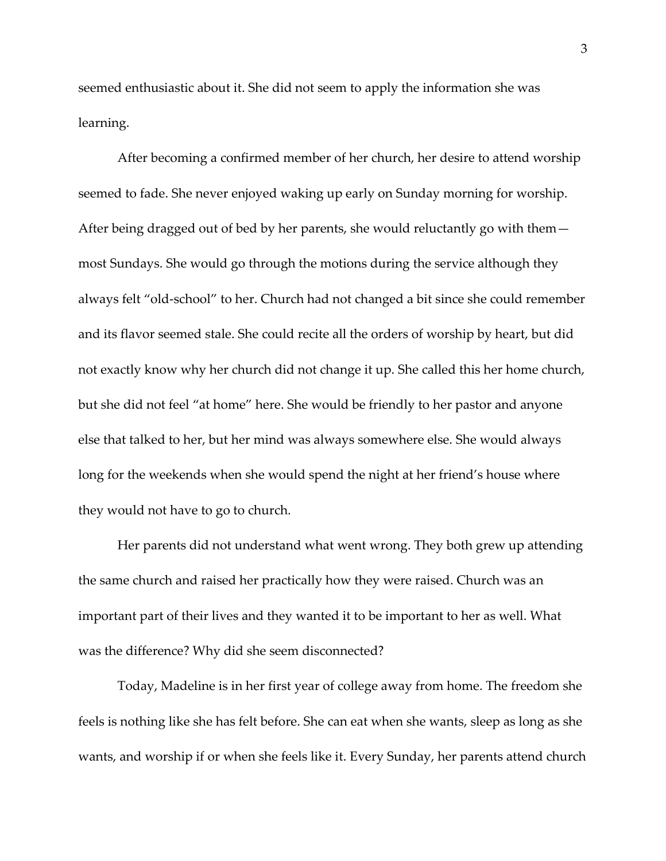seemed enthusiastic about it. She did not seem to apply the information she was learning.

After becoming a confirmed member of her church, her desire to attend worship seemed to fade. She never enjoyed waking up early on Sunday morning for worship. After being dragged out of bed by her parents, she would reluctantly go with them most Sundays. She would go through the motions during the service although they always felt "old-school" to her. Church had not changed a bit since she could remember and its flavor seemed stale. She could recite all the orders of worship by heart, but did not exactly know why her church did not change it up. She called this her home church, but she did not feel "at home" here. She would be friendly to her pastor and anyone else that talked to her, but her mind was always somewhere else. She would always long for the weekends when she would spend the night at her friend's house where they would not have to go to church.

Her parents did not understand what went wrong. They both grew up attending the same church and raised her practically how they were raised. Church was an important part of their lives and they wanted it to be important to her as well. What was the difference? Why did she seem disconnected?

Today, Madeline is in her first year of college away from home. The freedom she feels is nothing like she has felt before. She can eat when she wants, sleep as long as she wants, and worship if or when she feels like it. Every Sunday, her parents attend church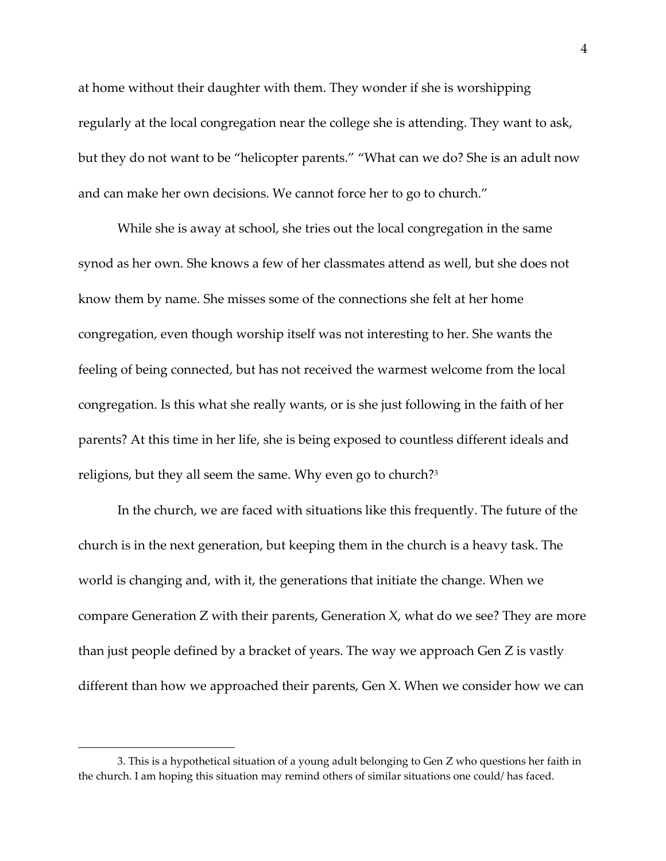at home without their daughter with them. They wonder if she is worshipping regularly at the local congregation near the college she is attending. They want to ask, but they do not want to be "helicopter parents." "What can we do? She is an adult now and can make her own decisions. We cannot force her to go to church."

While she is away at school, she tries out the local congregation in the same synod as her own. She knows a few of her classmates attend as well, but she does not know them by name. She misses some of the connections she felt at her home congregation, even though worship itself was not interesting to her. She wants the feeling of being connected, but has not received the warmest welcome from the local congregation. Is this what she really wants, or is she just following in the faith of her parents? At this time in her life, she is being exposed to countless different ideals and religions, but they all seem the same. Why even go to church?<sup>3</sup>

In the church, we are faced with situations like this frequently. The future of the church is in the next generation, but keeping them in the church is a heavy task. The world is changing and, with it, the generations that initiate the change. When we compare Generation Z with their parents, Generation X, what do we see? They are more than just people defined by a bracket of years. The way we approach Gen Z is vastly different than how we approached their parents, Gen X. When we consider how we can

<sup>3.</sup> This is a hypothetical situation of a young adult belonging to Gen Z who questions her faith in the church. I am hoping this situation may remind others of similar situations one could/ has faced.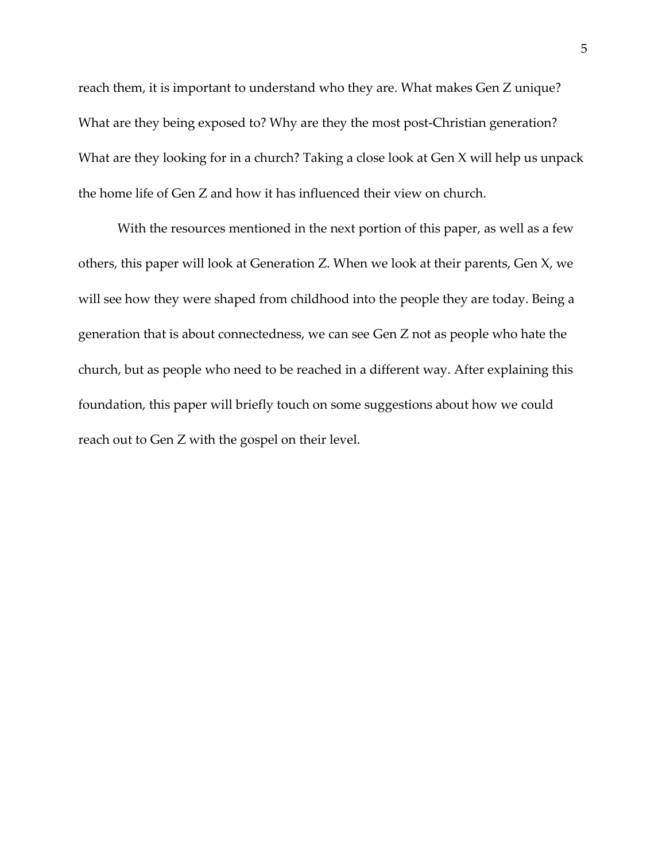reach them, it is important to understand who they are. What makes Gen Z unique? What are they being exposed to? Why are they the most post-Christian generation? What are they looking for in a church? Taking a close look at Gen X will help us unpack the home life of Gen Z and how it has influenced their view on church.

With the resources mentioned in the next portion of this paper, as well as a few others, this paper will look at Generation Z. When we look at their parents, Gen X, we will see how they were shaped from childhood into the people they are today. Being a generation that is about connectedness, we can see Gen Z not as people who hate the church, but as people who need to be reached in a different way. After explaining this foundation, this paper will briefly touch on some suggestions about how we could reach out to Gen Z with the gospel on their level.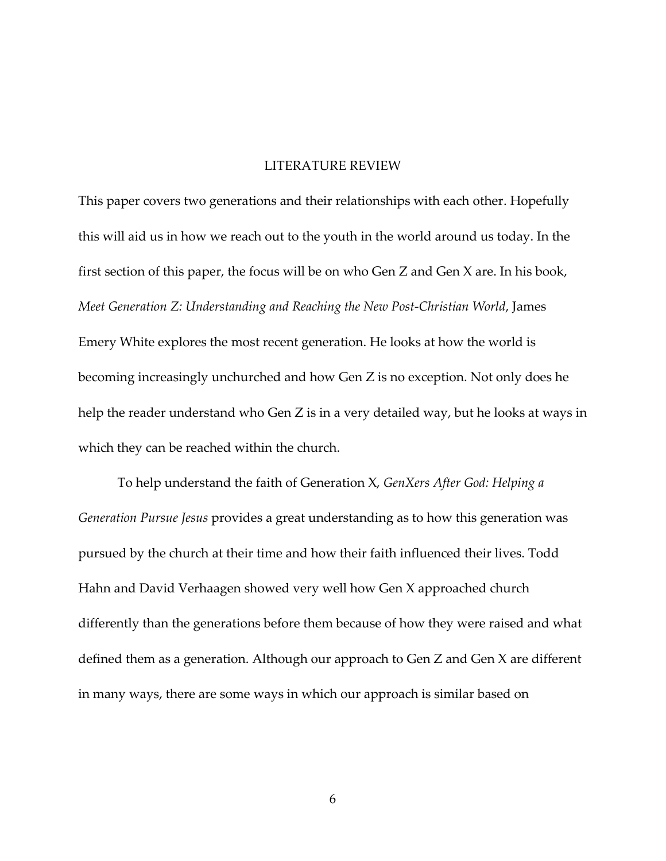#### LITERATURE REVIEW

This paper covers two generations and their relationships with each other. Hopefully this will aid us in how we reach out to the youth in the world around us today. In the first section of this paper, the focus will be on who Gen Z and Gen X are. In his book, *Meet Generation Z: Understanding and Reaching the New Post-Christian World*, James Emery White explores the most recent generation. He looks at how the world is becoming increasingly unchurched and how Gen Z is no exception. Not only does he help the reader understand who Gen Z is in a very detailed way, but he looks at ways in which they can be reached within the church.

To help understand the faith of Generation X, *GenXers After God: Helping a Generation Pursue Jesus* provides a great understanding as to how this generation was pursued by the church at their time and how their faith influenced their lives. Todd Hahn and David Verhaagen showed very well how Gen X approached church differently than the generations before them because of how they were raised and what defined them as a generation. Although our approach to Gen Z and Gen X are different in many ways, there are some ways in which our approach is similar based on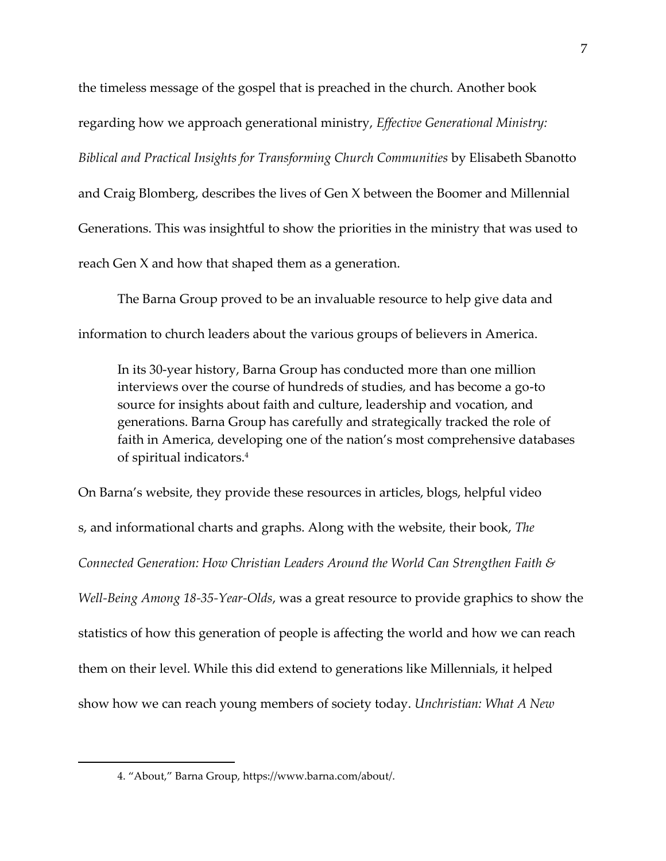the timeless message of the gospel that is preached in the church. Another book regarding how we approach generational ministry, *Effective Generational Ministry: Biblical and Practical Insights for Transforming Church Communities* by Elisabeth Sbanotto and Craig Blomberg, describes the lives of Gen X between the Boomer and Millennial Generations. This was insightful to show the priorities in the ministry that was used to reach Gen X and how that shaped them as a generation.

The Barna Group proved to be an invaluable resource to help give data and information to church leaders about the various groups of believers in America.

In its 30-year history, Barna Group has conducted more than one million interviews over the course of hundreds of studies, and has become a go-to source for insights about faith and culture, leadership and vocation, and generations. Barna Group has carefully and strategically tracked the role of faith in America, developing one of the nation's most comprehensive databases of spiritual indicators.<sup>4</sup>

On Barna's website, they provide these resources in articles, blogs, helpful video s, and informational charts and graphs. Along with the website, their book, *The Connected Generation: How Christian Leaders Around the World Can Strengthen Faith & Well-Being Among 18-35-Year-Olds*, was a great resource to provide graphics to show the statistics of how this generation of people is affecting the world and how we can reach them on their level. While this did extend to generations like Millennials, it helped show how we can reach young members of society today. *Unchristian: What A New* 

<sup>4.</sup> "About," Barna Group, https://www.barna.com/about/.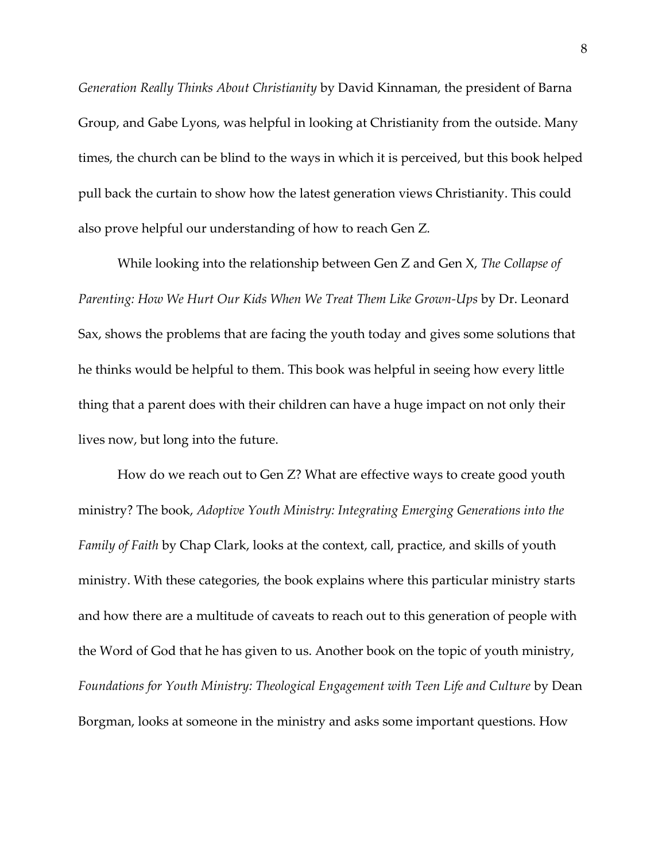*Generation Really Thinks About Christianity* by David Kinnaman, the president of Barna Group, and Gabe Lyons, was helpful in looking at Christianity from the outside. Many times, the church can be blind to the ways in which it is perceived, but this book helped pull back the curtain to show how the latest generation views Christianity. This could also prove helpful our understanding of how to reach Gen Z.

While looking into the relationship between Gen Z and Gen X, *The Collapse of Parenting: How We Hurt Our Kids When We Treat Them Like Grown-Ups* by Dr. Leonard Sax, shows the problems that are facing the youth today and gives some solutions that he thinks would be helpful to them. This book was helpful in seeing how every little thing that a parent does with their children can have a huge impact on not only their lives now, but long into the future.

How do we reach out to Gen Z? What are effective ways to create good youth ministry? The book, *Adoptive Youth Ministry: Integrating Emerging Generations into the Family of Faith* by Chap Clark, looks at the context, call, practice, and skills of youth ministry. With these categories, the book explains where this particular ministry starts and how there are a multitude of caveats to reach out to this generation of people with the Word of God that he has given to us. Another book on the topic of youth ministry, *Foundations for Youth Ministry: Theological Engagement with Teen Life and Culture* by Dean Borgman, looks at someone in the ministry and asks some important questions. How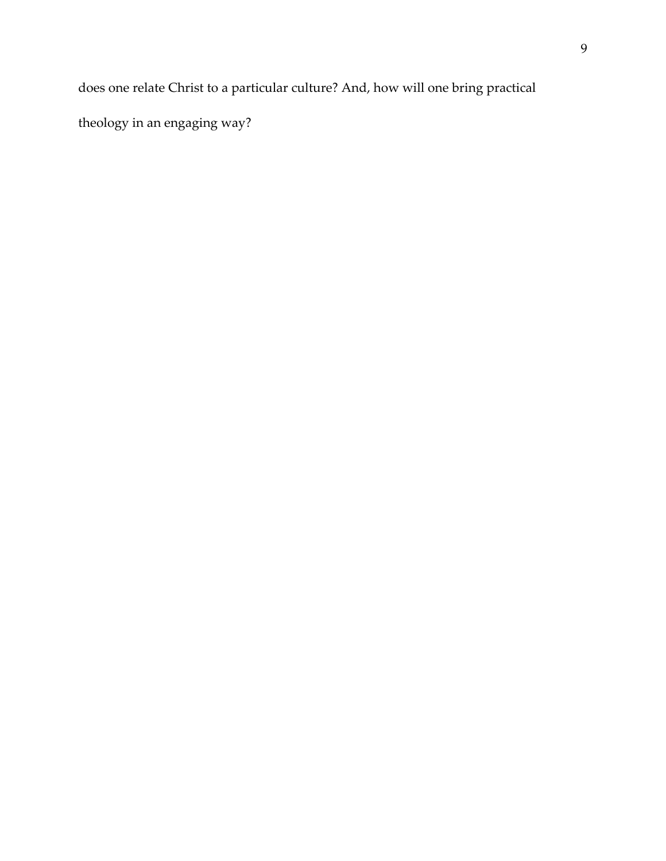does one relate Christ to a particular culture? And, how will one bring practical

theology in an engaging way?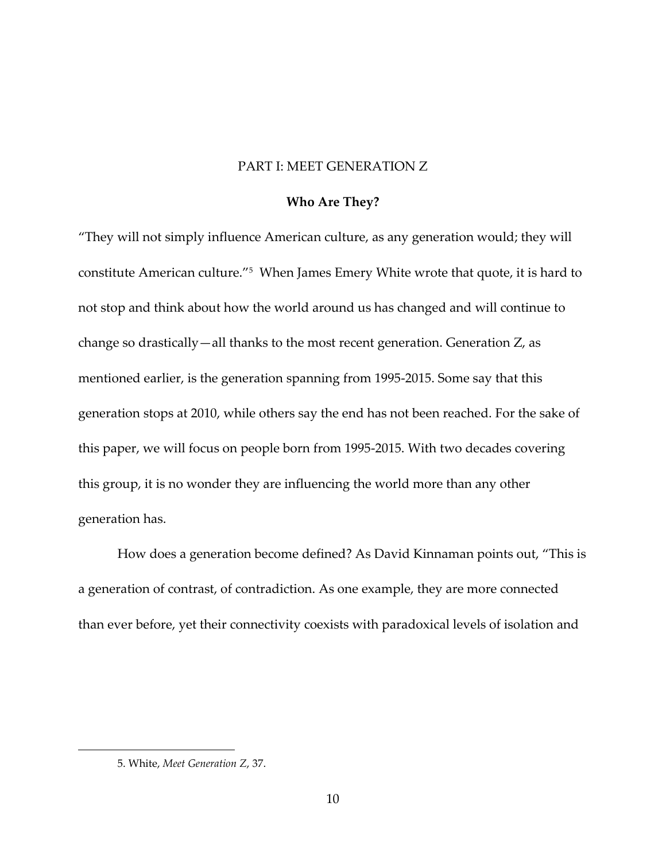#### PART I: MEET GENERATION Z

#### **Who Are They?**

"They will not simply influence American culture, as any generation would; they will constitute American culture."<sup>5</sup> When James Emery White wrote that quote, it is hard to not stop and think about how the world around us has changed and will continue to change so drastically—all thanks to the most recent generation. Generation Z, as mentioned earlier, is the generation spanning from 1995-2015. Some say that this generation stops at 2010, while others say the end has not been reached. For the sake of this paper, we will focus on people born from 1995-2015. With two decades covering this group, it is no wonder they are influencing the world more than any other generation has.

How does a generation become defined? As David Kinnaman points out, "This is a generation of contrast, of contradiction. As one example, they are more connected than ever before, yet their connectivity coexists with paradoxical levels of isolation and

<sup>5.</sup> White, *Meet Generation Z*, 37.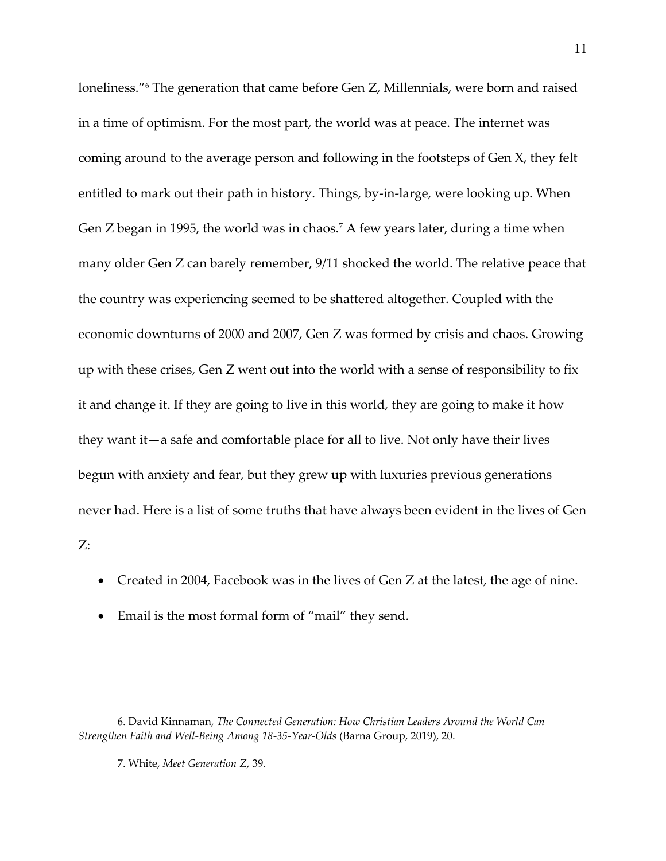loneliness."<sup>6</sup> The generation that came before Gen Z, Millennials, were born and raised in a time of optimism. For the most part, the world was at peace. The internet was coming around to the average person and following in the footsteps of Gen X, they felt entitled to mark out their path in history. Things, by-in-large, were looking up. When Gen Z began in 1995, the world was in chaos.<sup>7</sup> A few years later, during a time when many older Gen Z can barely remember, 9/11 shocked the world. The relative peace that the country was experiencing seemed to be shattered altogether. Coupled with the economic downturns of 2000 and 2007, Gen Z was formed by crisis and chaos. Growing up with these crises, Gen Z went out into the world with a sense of responsibility to fix it and change it. If they are going to live in this world, they are going to make it how they want it—a safe and comfortable place for all to live. Not only have their lives begun with anxiety and fear, but they grew up with luxuries previous generations never had. Here is a list of some truths that have always been evident in the lives of Gen Z:

- Created in 2004, Facebook was in the lives of Gen Z at the latest, the age of nine.
- Email is the most formal form of "mail" they send.

<sup>6.</sup> David Kinnaman, *The Connected Generation: How Christian Leaders Around the World Can Strengthen Faith and Well-Being Among 18-35-Year-Olds* (Barna Group, 2019), 20.

<sup>7.</sup> White, *Meet Generation Z*, 39.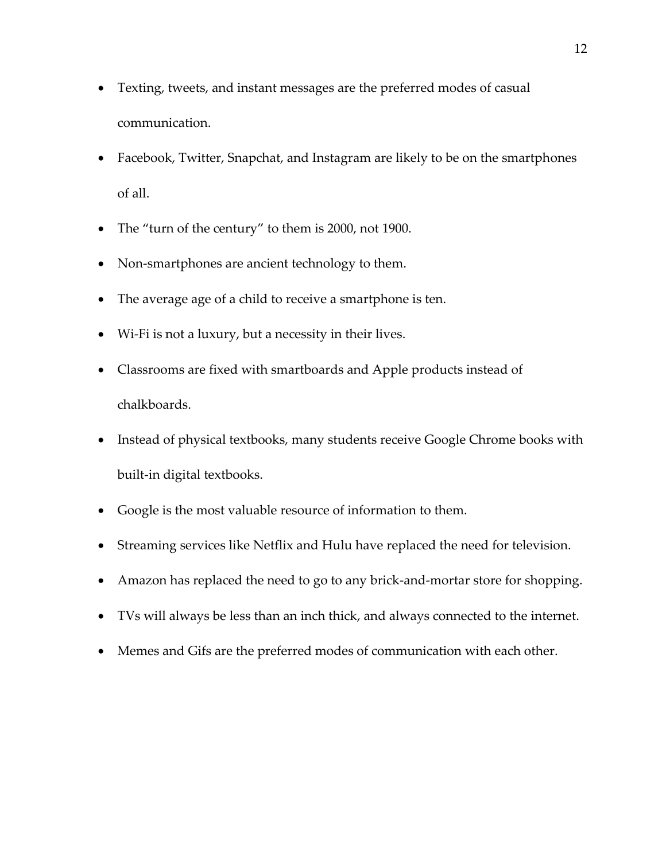- Texting, tweets, and instant messages are the preferred modes of casual communication.
- Facebook, Twitter, Snapchat, and Instagram are likely to be on the smartphones of all.
- The "turn of the century" to them is 2000, not 1900.
- Non-smartphones are ancient technology to them.
- The average age of a child to receive a smartphone is ten.
- Wi-Fi is not a luxury, but a necessity in their lives.
- Classrooms are fixed with smartboards and Apple products instead of chalkboards.
- Instead of physical textbooks, many students receive Google Chrome books with built-in digital textbooks.
- Google is the most valuable resource of information to them.
- Streaming services like Netflix and Hulu have replaced the need for television.
- Amazon has replaced the need to go to any brick-and-mortar store for shopping.
- TVs will always be less than an inch thick, and always connected to the internet.
- Memes and Gifs are the preferred modes of communication with each other.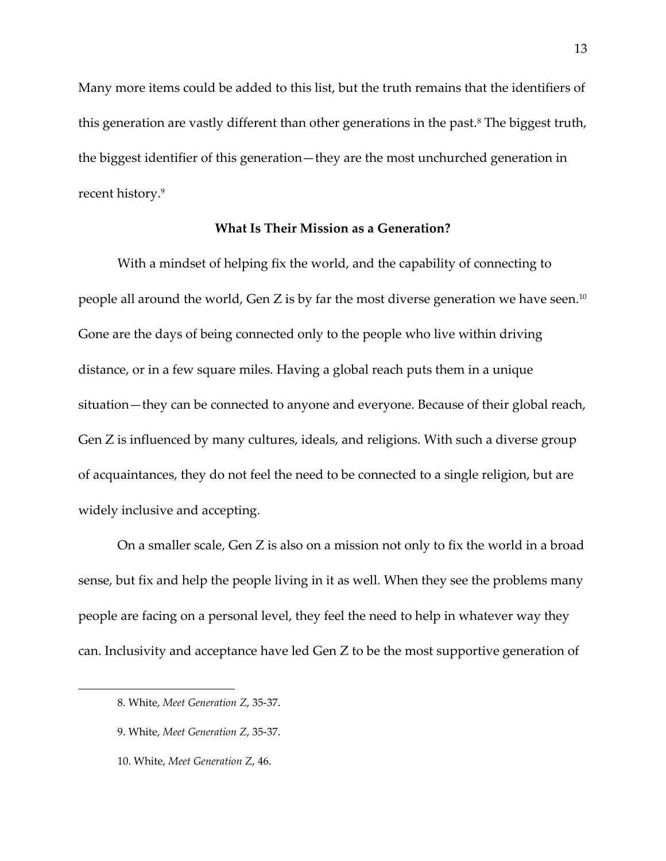Many more items could be added to this list, but the truth remains that the identifiers of this generation are vastly different than other generations in the past.<sup>8</sup> The biggest truth, the biggest identifier of this generation—they are the most unchurched generation in recent history.<sup>9</sup>

#### **What Is Their Mission as a Generation?**

With a mindset of helping fix the world, and the capability of connecting to people all around the world, Gen Z is by far the most diverse generation we have seen. $^{\scriptsize 10}$ Gone are the days of being connected only to the people who live within driving distance, or in a few square miles. Having a global reach puts them in a unique situation—they can be connected to anyone and everyone. Because of their global reach, Gen Z is influenced by many cultures, ideals, and religions. With such a diverse group of acquaintances, they do not feel the need to be connected to a single religion, but are widely inclusive and accepting.

On a smaller scale, Gen Z is also on a mission not only to fix the world in a broad sense, but fix and help the people living in it as well. When they see the problems many people are facing on a personal level, they feel the need to help in whatever way they can. Inclusivity and acceptance have led Gen Z to be the most supportive generation of

<sup>8.</sup> White, *Meet Generation Z*, 35-37.

<sup>9.</sup> White, *Meet Generation Z*, 35-37.

<sup>10.</sup> White, *Meet Generation Z*, 46.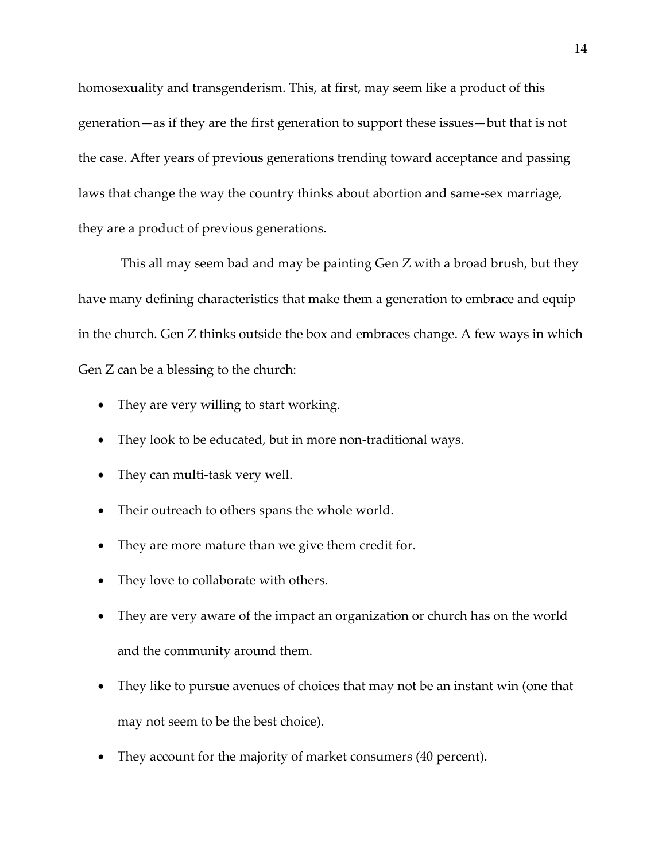homosexuality and transgenderism. This, at first, may seem like a product of this generation—as if they are the first generation to support these issues—but that is not the case. After years of previous generations trending toward acceptance and passing laws that change the way the country thinks about abortion and same-sex marriage, they are a product of previous generations.

This all may seem bad and may be painting Gen Z with a broad brush, but they have many defining characteristics that make them a generation to embrace and equip in the church. Gen Z thinks outside the box and embraces change. A few ways in which Gen Z can be a blessing to the church:

- They are very willing to start working.
- They look to be educated, but in more non-traditional ways.
- They can multi-task very well.
- Their outreach to others spans the whole world.
- They are more mature than we give them credit for.
- They love to collaborate with others.
- They are very aware of the impact an organization or church has on the world and the community around them.
- They like to pursue avenues of choices that may not be an instant win (one that may not seem to be the best choice).
- They account for the majority of market consumers (40 percent).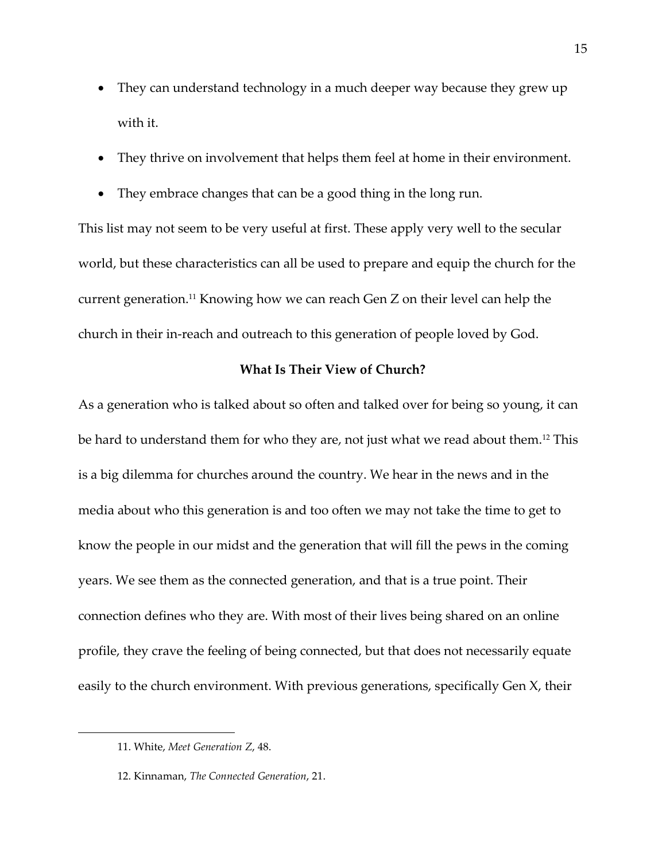- They can understand technology in a much deeper way because they grew up with it.
- They thrive on involvement that helps them feel at home in their environment.
- They embrace changes that can be a good thing in the long run.

This list may not seem to be very useful at first. These apply very well to the secular world, but these characteristics can all be used to prepare and equip the church for the current generation.<sup>11</sup> Knowing how we can reach Gen Z on their level can help the church in their in-reach and outreach to this generation of people loved by God.

#### **What Is Their View of Church?**

As a generation who is talked about so often and talked over for being so young, it can be hard to understand them for who they are, not just what we read about them.<sup>12</sup> This is a big dilemma for churches around the country. We hear in the news and in the media about who this generation is and too often we may not take the time to get to know the people in our midst and the generation that will fill the pews in the coming years. We see them as the connected generation, and that is a true point. Their connection defines who they are. With most of their lives being shared on an online profile, they crave the feeling of being connected, but that does not necessarily equate easily to the church environment. With previous generations, specifically Gen X, their

<sup>11.</sup> White, *Meet Generation Z*, 48.

<sup>12.</sup> Kinnaman, *The Connected Generation*, 21.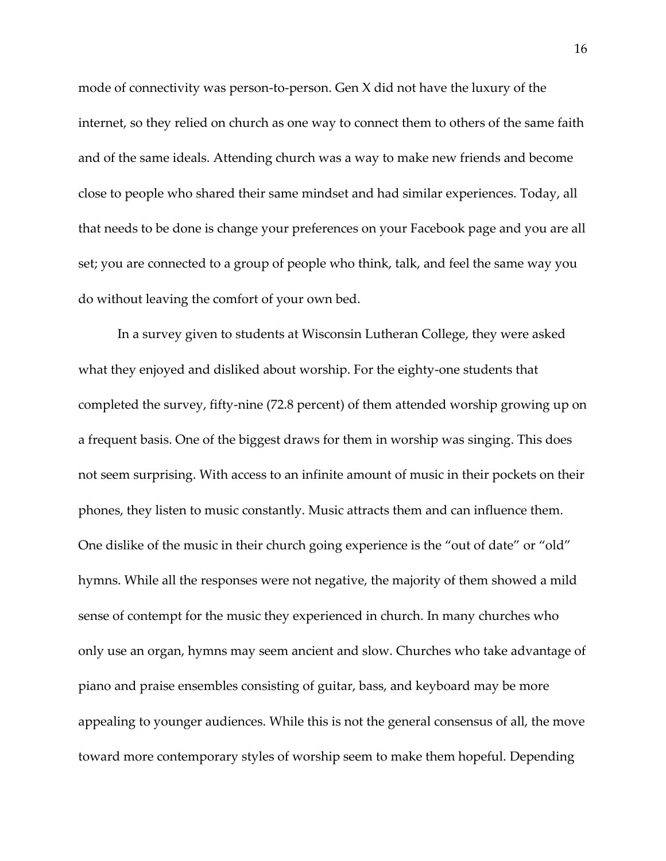mode of connectivity was person-to-person. Gen X did not have the luxury of the internet, so they relied on church as one way to connect them to others of the same faith and of the same ideals. Attending church was a way to make new friends and become close to people who shared their same mindset and had similar experiences. Today, all that needs to be done is change your preferences on your Facebook page and you are all set; you are connected to a group of people who think, talk, and feel the same way you do without leaving the comfort of your own bed.

In a survey given to students at Wisconsin Lutheran College, they were asked what they enjoyed and disliked about worship. For the eighty-one students that completed the survey, fifty-nine (72.8 percent) of them attended worship growing up on a frequent basis. One of the biggest draws for them in worship was singing. This does not seem surprising. With access to an infinite amount of music in their pockets on their phones, they listen to music constantly. Music attracts them and can influence them. One dislike of the music in their church going experience is the "out of date" or "old" hymns. While all the responses were not negative, the majority of them showed a mild sense of contempt for the music they experienced in church. In many churches who only use an organ, hymns may seem ancient and slow. Churches who take advantage of piano and praise ensembles consisting of guitar, bass, and keyboard may be more appealing to younger audiences. While this is not the general consensus of all, the move toward more contemporary styles of worship seem to make them hopeful. Depending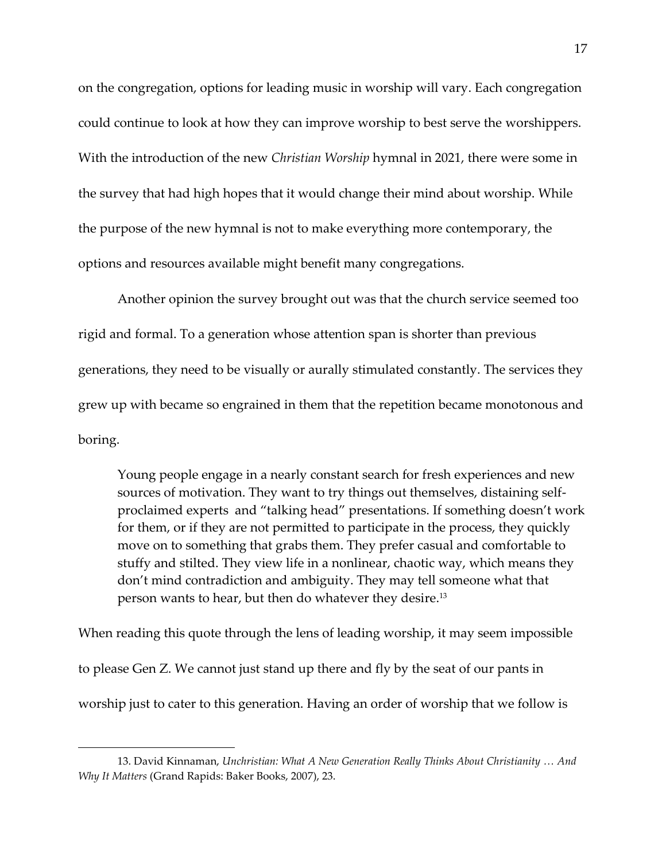on the congregation, options for leading music in worship will vary. Each congregation could continue to look at how they can improve worship to best serve the worshippers. With the introduction of the new *Christian Worship* hymnal in 2021, there were some in the survey that had high hopes that it would change their mind about worship. While the purpose of the new hymnal is not to make everything more contemporary, the options and resources available might benefit many congregations.

Another opinion the survey brought out was that the church service seemed too rigid and formal. To a generation whose attention span is shorter than previous generations, they need to be visually or aurally stimulated constantly. The services they grew up with became so engrained in them that the repetition became monotonous and boring.

Young people engage in a nearly constant search for fresh experiences and new sources of motivation. They want to try things out themselves, distaining selfproclaimed experts and "talking head" presentations. If something doesn't work for them, or if they are not permitted to participate in the process, they quickly move on to something that grabs them. They prefer casual and comfortable to stuffy and stilted. They view life in a nonlinear, chaotic way, which means they don't mind contradiction and ambiguity. They may tell someone what that person wants to hear, but then do whatever they desire.<sup>13</sup>

When reading this quote through the lens of leading worship, it may seem impossible to please Gen Z. We cannot just stand up there and fly by the seat of our pants in worship just to cater to this generation. Having an order of worship that we follow is

<sup>13.</sup> David Kinnaman, *Unchristian: What A New Generation Really Thinks About Christianity … And Why It Matters* (Grand Rapids: Baker Books, 2007), 23.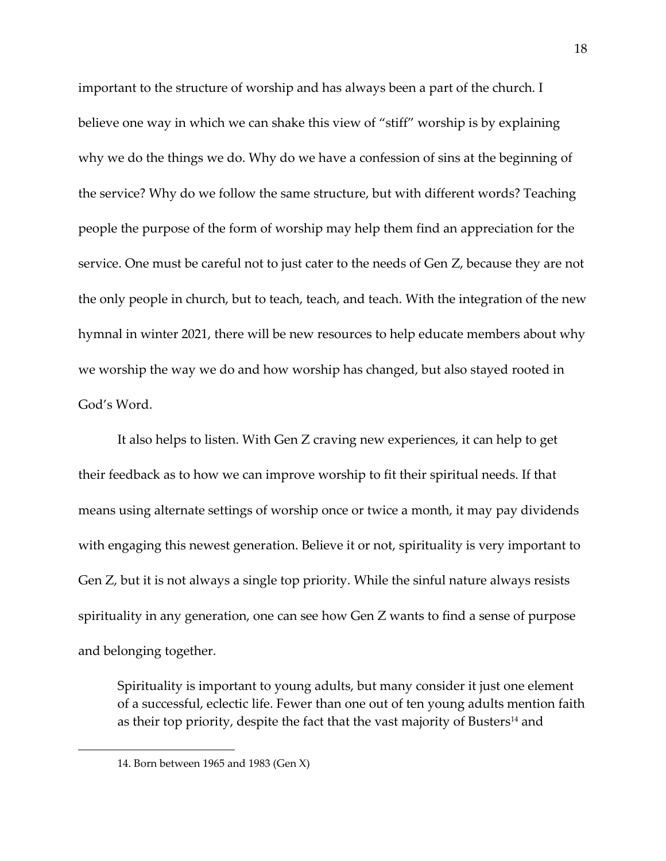important to the structure of worship and has always been a part of the church. I believe one way in which we can shake this view of "stiff" worship is by explaining why we do the things we do. Why do we have a confession of sins at the beginning of the service? Why do we follow the same structure, but with different words? Teaching people the purpose of the form of worship may help them find an appreciation for the service. One must be careful not to just cater to the needs of Gen Z, because they are not the only people in church, but to teach, teach, and teach. With the integration of the new hymnal in winter 2021, there will be new resources to help educate members about why we worship the way we do and how worship has changed, but also stayed rooted in God's Word.

It also helps to listen. With Gen Z craving new experiences, it can help to get their feedback as to how we can improve worship to fit their spiritual needs. If that means using alternate settings of worship once or twice a month, it may pay dividends with engaging this newest generation. Believe it or not, spirituality is very important to Gen Z, but it is not always a single top priority. While the sinful nature always resists spirituality in any generation, one can see how Gen Z wants to find a sense of purpose and belonging together.

Spirituality is important to young adults, but many consider it just one element of a successful, eclectic life. Fewer than one out of ten young adults mention faith as their top priority, despite the fact that the vast majority of Busters<sup>14</sup> and

<sup>14.</sup> Born between 1965 and 1983 (Gen X)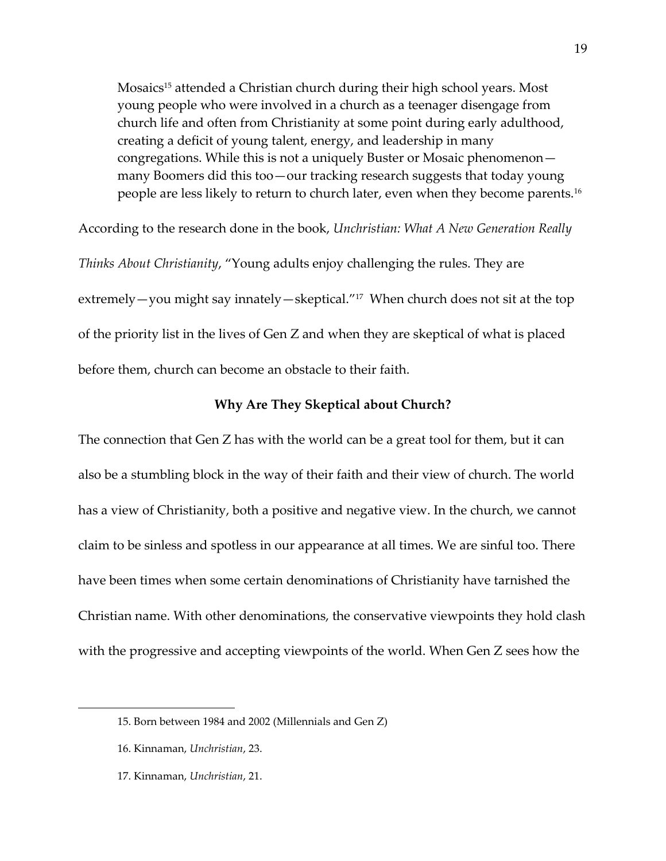Mosaics<sup>15</sup> attended a Christian church during their high school years. Most young people who were involved in a church as a teenager disengage from church life and often from Christianity at some point during early adulthood, creating a deficit of young talent, energy, and leadership in many congregations. While this is not a uniquely Buster or Mosaic phenomenon many Boomers did this too—our tracking research suggests that today young people are less likely to return to church later, even when they become parents.<sup>16</sup>

According to the research done in the book, *Unchristian: What A New Generation Really Thinks About Christianity*, "Young adults enjoy challenging the rules. They are extremely—you might say innately—skeptical."<sup>17</sup> When church does not sit at the top of the priority list in the lives of Gen Z and when they are skeptical of what is placed before them, church can become an obstacle to their faith.

#### **Why Are They Skeptical about Church?**

The connection that Gen Z has with the world can be a great tool for them, but it can also be a stumbling block in the way of their faith and their view of church. The world has a view of Christianity, both a positive and negative view. In the church, we cannot claim to be sinless and spotless in our appearance at all times. We are sinful too. There have been times when some certain denominations of Christianity have tarnished the Christian name. With other denominations, the conservative viewpoints they hold clash with the progressive and accepting viewpoints of the world. When Gen Z sees how the

17. Kinnaman, *Unchristian*, 21.

<sup>15.</sup> Born between 1984 and 2002 (Millennials and Gen Z)

<sup>16.</sup> Kinnaman, *Unchristian*, 23.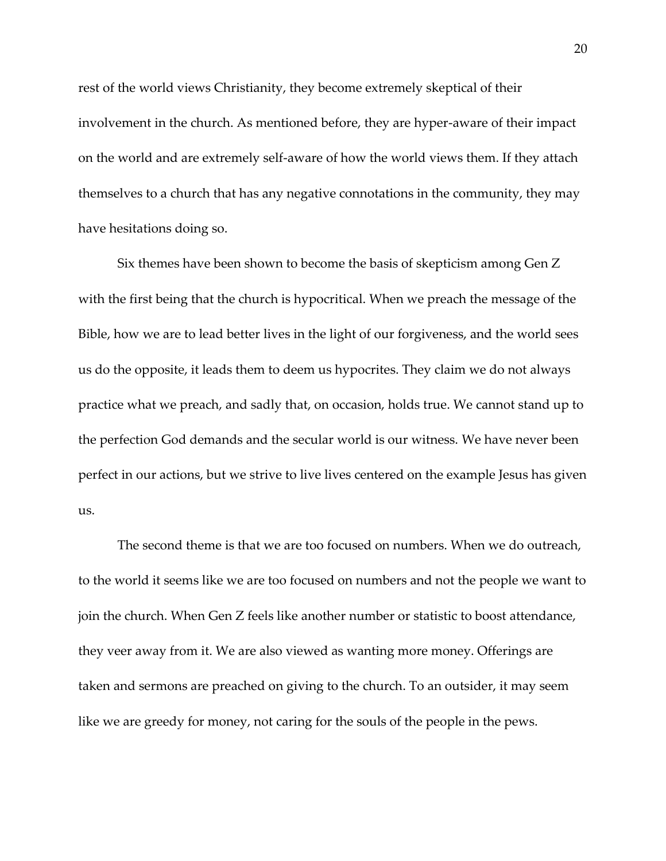rest of the world views Christianity, they become extremely skeptical of their involvement in the church. As mentioned before, they are hyper-aware of their impact on the world and are extremely self-aware of how the world views them. If they attach themselves to a church that has any negative connotations in the community, they may have hesitations doing so.

Six themes have been shown to become the basis of skepticism among Gen Z with the first being that the church is hypocritical. When we preach the message of the Bible, how we are to lead better lives in the light of our forgiveness, and the world sees us do the opposite, it leads them to deem us hypocrites. They claim we do not always practice what we preach, and sadly that, on occasion, holds true. We cannot stand up to the perfection God demands and the secular world is our witness. We have never been perfect in our actions, but we strive to live lives centered on the example Jesus has given us.

The second theme is that we are too focused on numbers. When we do outreach, to the world it seems like we are too focused on numbers and not the people we want to join the church. When Gen Z feels like another number or statistic to boost attendance, they veer away from it. We are also viewed as wanting more money. Offerings are taken and sermons are preached on giving to the church. To an outsider, it may seem like we are greedy for money, not caring for the souls of the people in the pews.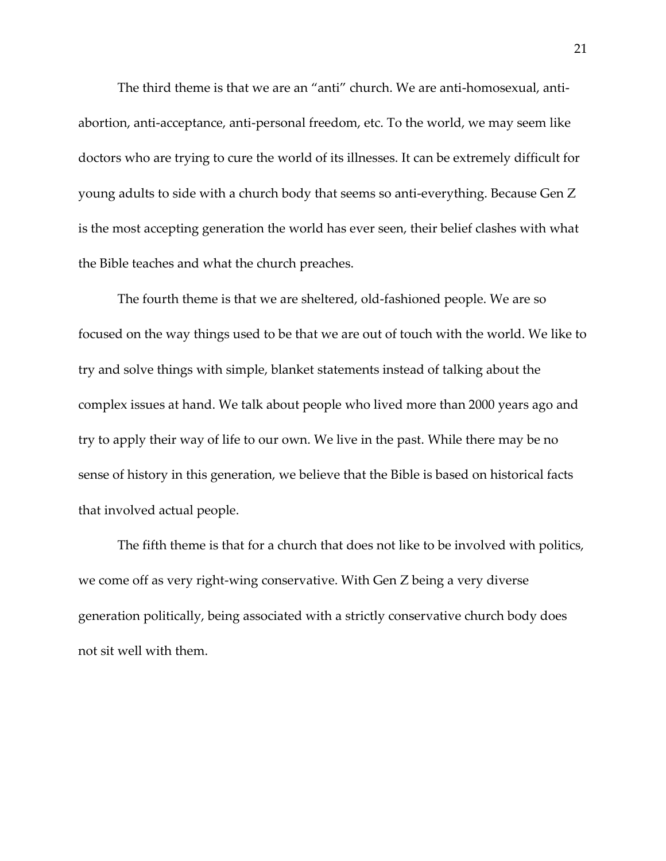The third theme is that we are an "anti" church. We are anti-homosexual, antiabortion, anti-acceptance, anti-personal freedom, etc. To the world, we may seem like doctors who are trying to cure the world of its illnesses. It can be extremely difficult for young adults to side with a church body that seems so anti-everything. Because Gen Z is the most accepting generation the world has ever seen, their belief clashes with what the Bible teaches and what the church preaches.

The fourth theme is that we are sheltered, old-fashioned people. We are so focused on the way things used to be that we are out of touch with the world. We like to try and solve things with simple, blanket statements instead of talking about the complex issues at hand. We talk about people who lived more than 2000 years ago and try to apply their way of life to our own. We live in the past. While there may be no sense of history in this generation, we believe that the Bible is based on historical facts that involved actual people.

The fifth theme is that for a church that does not like to be involved with politics, we come off as very right-wing conservative. With Gen Z being a very diverse generation politically, being associated with a strictly conservative church body does not sit well with them.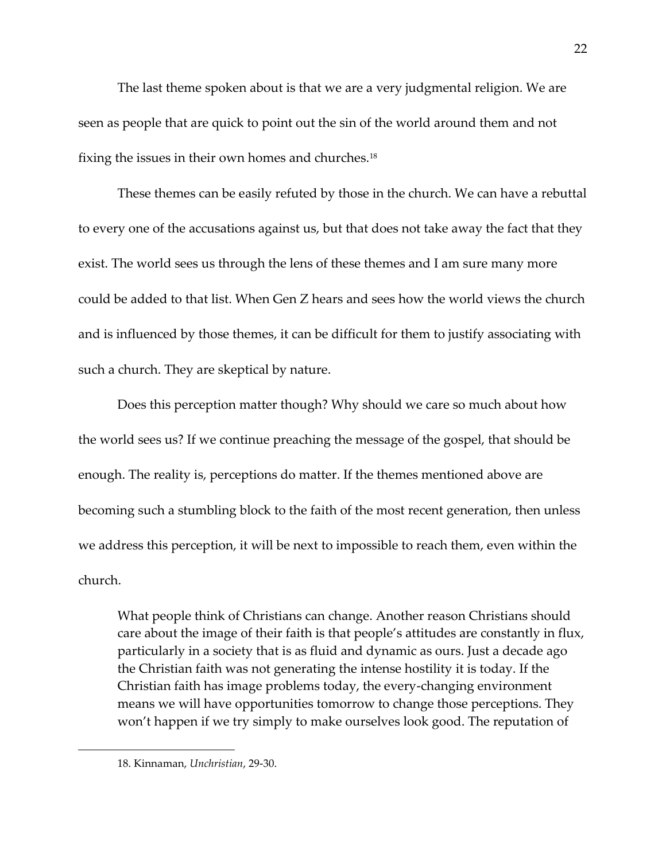The last theme spoken about is that we are a very judgmental religion. We are seen as people that are quick to point out the sin of the world around them and not fixing the issues in their own homes and churches.<sup>18</sup>

These themes can be easily refuted by those in the church. We can have a rebuttal to every one of the accusations against us, but that does not take away the fact that they exist. The world sees us through the lens of these themes and I am sure many more could be added to that list. When Gen Z hears and sees how the world views the church and is influenced by those themes, it can be difficult for them to justify associating with such a church. They are skeptical by nature.

Does this perception matter though? Why should we care so much about how the world sees us? If we continue preaching the message of the gospel, that should be enough. The reality is, perceptions do matter. If the themes mentioned above are becoming such a stumbling block to the faith of the most recent generation, then unless we address this perception, it will be next to impossible to reach them, even within the church.

What people think of Christians can change. Another reason Christians should care about the image of their faith is that people's attitudes are constantly in flux, particularly in a society that is as fluid and dynamic as ours. Just a decade ago the Christian faith was not generating the intense hostility it is today. If the Christian faith has image problems today, the every-changing environment means we will have opportunities tomorrow to change those perceptions. They won't happen if we try simply to make ourselves look good. The reputation of

<sup>18.</sup> Kinnaman, *Unchristian*, 29-30.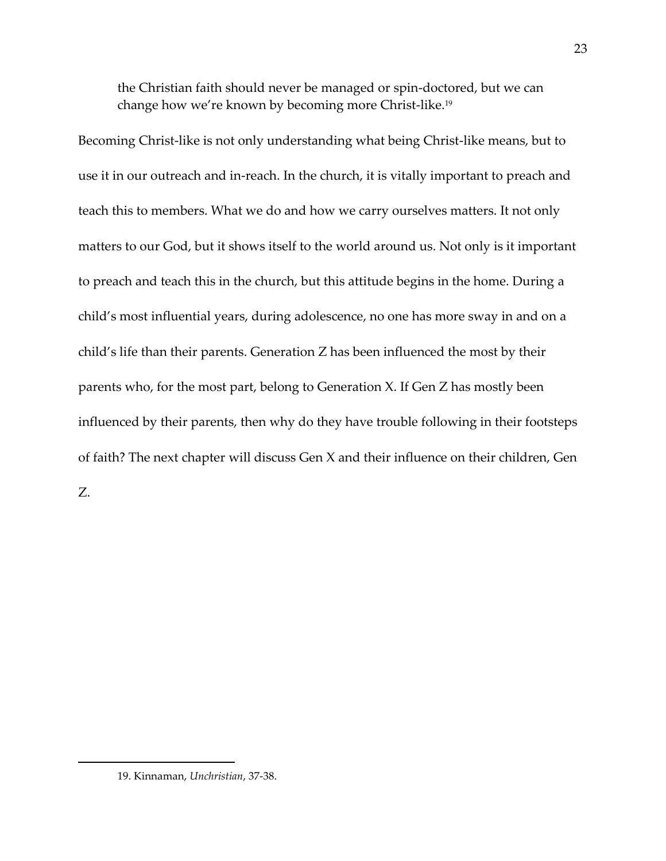the Christian faith should never be managed or spin-doctored, but we can change how we're known by becoming more Christ-like.<sup>19</sup>

Becoming Christ-like is not only understanding what being Christ-like means, but to use it in our outreach and in-reach. In the church, it is vitally important to preach and teach this to members. What we do and how we carry ourselves matters. It not only matters to our God, but it shows itself to the world around us. Not only is it important to preach and teach this in the church, but this attitude begins in the home. During a child's most influential years, during adolescence, no one has more sway in and on a child's life than their parents. Generation Z has been influenced the most by their parents who, for the most part, belong to Generation X. If Gen Z has mostly been influenced by their parents, then why do they have trouble following in their footsteps of faith? The next chapter will discuss Gen X and their influence on their children, Gen Z.

<sup>19.</sup> Kinnaman, *Unchristian*, 37-38.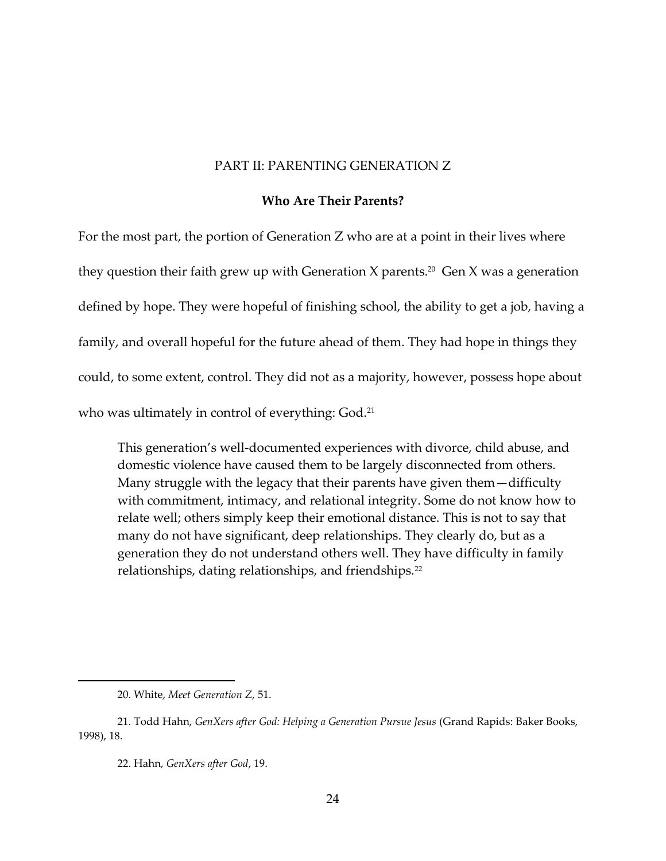#### PART II: PARENTING GENERATION Z

#### **Who Are Their Parents?**

For the most part, the portion of Generation Z who are at a point in their lives where they question their faith grew up with Generation X parents.<sup>20</sup> Gen X was a generation defined by hope. They were hopeful of finishing school, the ability to get a job, having a family, and overall hopeful for the future ahead of them. They had hope in things they could, to some extent, control. They did not as a majority, however, possess hope about who was ultimately in control of everything: God.<sup>21</sup>

This generation's well-documented experiences with divorce, child abuse, and domestic violence have caused them to be largely disconnected from others. Many struggle with the legacy that their parents have given them—difficulty with commitment, intimacy, and relational integrity. Some do not know how to relate well; others simply keep their emotional distance. This is not to say that many do not have significant, deep relationships. They clearly do, but as a generation they do not understand others well. They have difficulty in family relationships, dating relationships, and friendships.<sup>22</sup>

<sup>20.</sup> White, *Meet Generation Z*, 51.

<sup>21.</sup> Todd Hahn, *GenXers after God: Helping a Generation Pursue Jesus* (Grand Rapids: Baker Books, 1998), 18.

<sup>22.</sup> Hahn, *GenXers after God*, 19.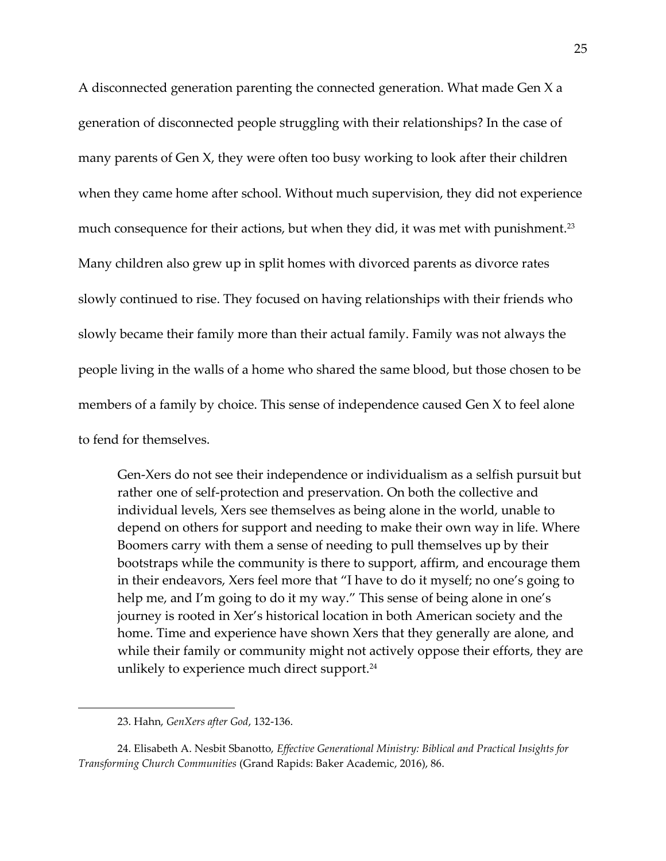A disconnected generation parenting the connected generation. What made Gen X a generation of disconnected people struggling with their relationships? In the case of many parents of Gen X, they were often too busy working to look after their children when they came home after school. Without much supervision, they did not experience much consequence for their actions, but when they did, it was met with punishment.<sup>23</sup> Many children also grew up in split homes with divorced parents as divorce rates slowly continued to rise. They focused on having relationships with their friends who slowly became their family more than their actual family. Family was not always the people living in the walls of a home who shared the same blood, but those chosen to be members of a family by choice. This sense of independence caused Gen X to feel alone to fend for themselves.

Gen-Xers do not see their independence or individualism as a selfish pursuit but rather one of self-protection and preservation. On both the collective and individual levels, Xers see themselves as being alone in the world, unable to depend on others for support and needing to make their own way in life. Where Boomers carry with them a sense of needing to pull themselves up by their bootstraps while the community is there to support, affirm, and encourage them in their endeavors, Xers feel more that "I have to do it myself; no one's going to help me, and I'm going to do it my way." This sense of being alone in one's journey is rooted in Xer's historical location in both American society and the home. Time and experience have shown Xers that they generally are alone, and while their family or community might not actively oppose their efforts, they are unlikely to experience much direct support.<sup>24</sup>

<sup>23.</sup> Hahn, *GenXers after God*, 132-136.

<sup>24.</sup> Elisabeth A. Nesbit Sbanotto, *Effective Generational Ministry: Biblical and Practical Insights for Transforming Church Communities* (Grand Rapids: Baker Academic, 2016), 86.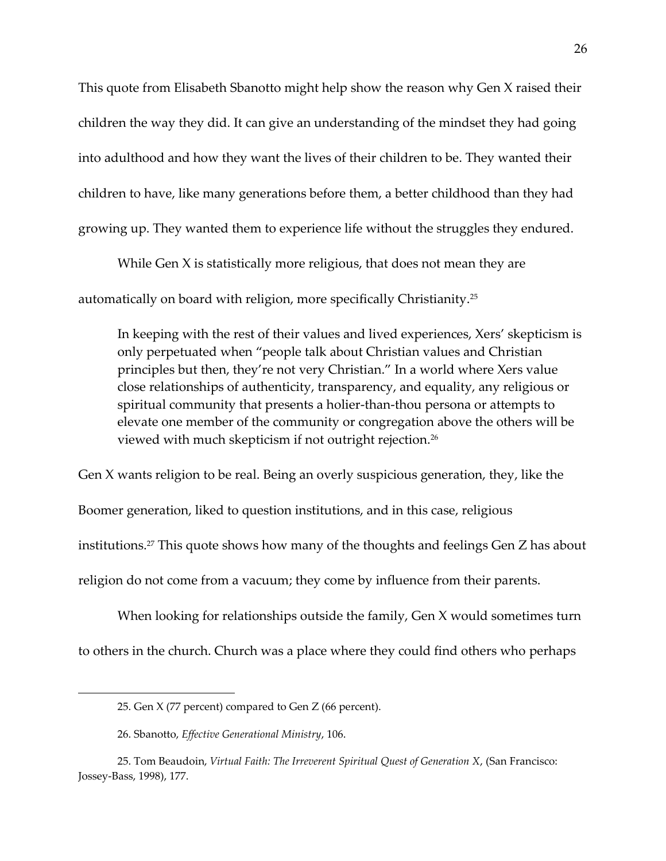This quote from Elisabeth Sbanotto might help show the reason why Gen X raised their children the way they did. It can give an understanding of the mindset they had going into adulthood and how they want the lives of their children to be. They wanted their children to have, like many generations before them, a better childhood than they had growing up. They wanted them to experience life without the struggles they endured.

While Gen X is statistically more religious, that does not mean they are automatically on board with religion, more specifically Christianity.<sup>25</sup>

In keeping with the rest of their values and lived experiences, Xers' skepticism is only perpetuated when "people talk about Christian values and Christian principles but then, they're not very Christian." In a world where Xers value close relationships of authenticity, transparency, and equality, any religious or spiritual community that presents a holier-than-thou persona or attempts to elevate one member of the community or congregation above the others will be viewed with much skepticism if not outright rejection. $^{26}$ 

Gen X wants religion to be real. Being an overly suspicious generation, they, like the Boomer generation, liked to question institutions, and in this case, religious institutions.<sup>27</sup> This quote shows how many of the thoughts and feelings Gen Z has about religion do not come from a vacuum; they come by influence from their parents.

When looking for relationships outside the family, Gen X would sometimes turn to others in the church. Church was a place where they could find others who perhaps

<sup>25.</sup> Gen X (77 percent) compared to Gen Z (66 percent).

<sup>26.</sup> Sbanotto, *Effective Generational Ministry*, 106.

<sup>25.</sup> Tom Beaudoin, *Virtual Faith: The Irreverent Spiritual Quest of Generation X*, (San Francisco: Jossey-Bass, 1998), 177.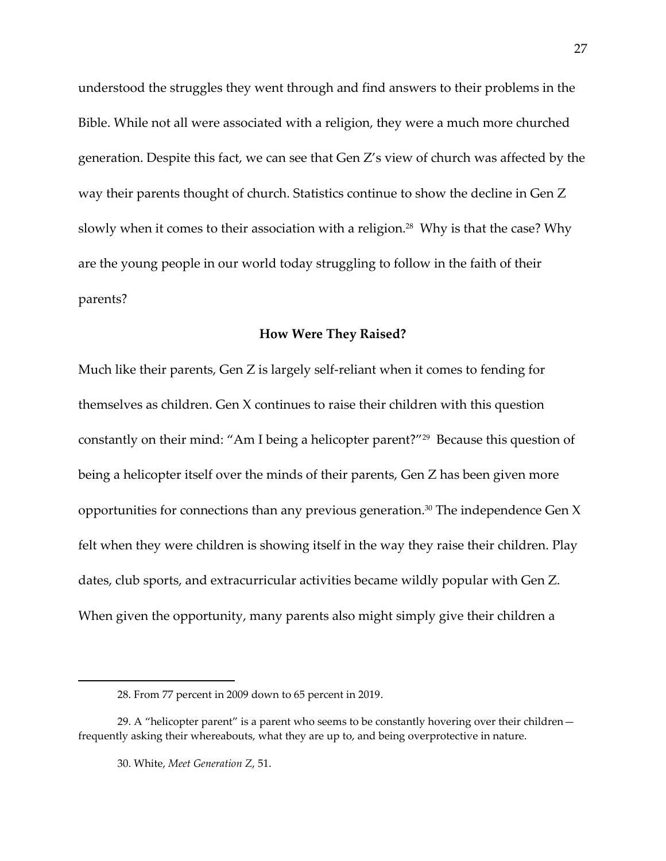understood the struggles they went through and find answers to their problems in the Bible. While not all were associated with a religion, they were a much more churched generation. Despite this fact, we can see that Gen Z's view of church was affected by the way their parents thought of church. Statistics continue to show the decline in Gen Z slowly when it comes to their association with a religion. $^{28}$  Why is that the case? Why are the young people in our world today struggling to follow in the faith of their parents?

#### **How Were They Raised?**

Much like their parents, Gen Z is largely self-reliant when it comes to fending for themselves as children. Gen X continues to raise their children with this question constantly on their mind: "Am I being a helicopter parent?"<sup>29</sup> Because this question of being a helicopter itself over the minds of their parents, Gen Z has been given more opportunities for connections than any previous generation.<sup>30</sup> The independence Gen  $X$ felt when they were children is showing itself in the way they raise their children. Play dates, club sports, and extracurricular activities became wildly popular with Gen Z. When given the opportunity, many parents also might simply give their children a

<sup>28.</sup> From 77 percent in 2009 down to 65 percent in 2019.

<sup>29.</sup> A "helicopter parent" is a parent who seems to be constantly hovering over their children frequently asking their whereabouts, what they are up to, and being overprotective in nature.

<sup>30.</sup> White, *Meet Generation Z*, 51.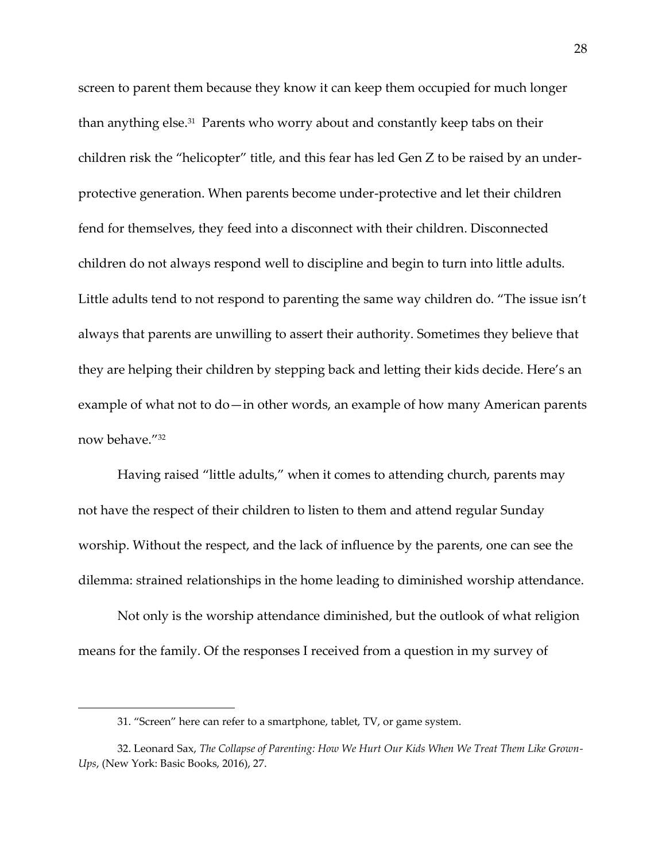screen to parent them because they know it can keep them occupied for much longer than anything else.<sup>31</sup> Parents who worry about and constantly keep tabs on their children risk the "helicopter" title, and this fear has led Gen Z to be raised by an underprotective generation. When parents become under-protective and let their children fend for themselves, they feed into a disconnect with their children. Disconnected children do not always respond well to discipline and begin to turn into little adults. Little adults tend to not respond to parenting the same way children do. "The issue isn't always that parents are unwilling to assert their authority. Sometimes they believe that they are helping their children by stepping back and letting their kids decide. Here's an example of what not to do—in other words, an example of how many American parents now behave."<sup>32</sup>

Having raised "little adults," when it comes to attending church, parents may not have the respect of their children to listen to them and attend regular Sunday worship. Without the respect, and the lack of influence by the parents, one can see the dilemma: strained relationships in the home leading to diminished worship attendance.

Not only is the worship attendance diminished, but the outlook of what religion means for the family. Of the responses I received from a question in my survey of

<sup>31.</sup> "Screen" here can refer to a smartphone, tablet, TV, or game system.

<sup>32.</sup> Leonard Sax, *The Collapse of Parenting: How We Hurt Our Kids When We Treat Them Like Grown-Ups*, (New York: Basic Books, 2016), 27.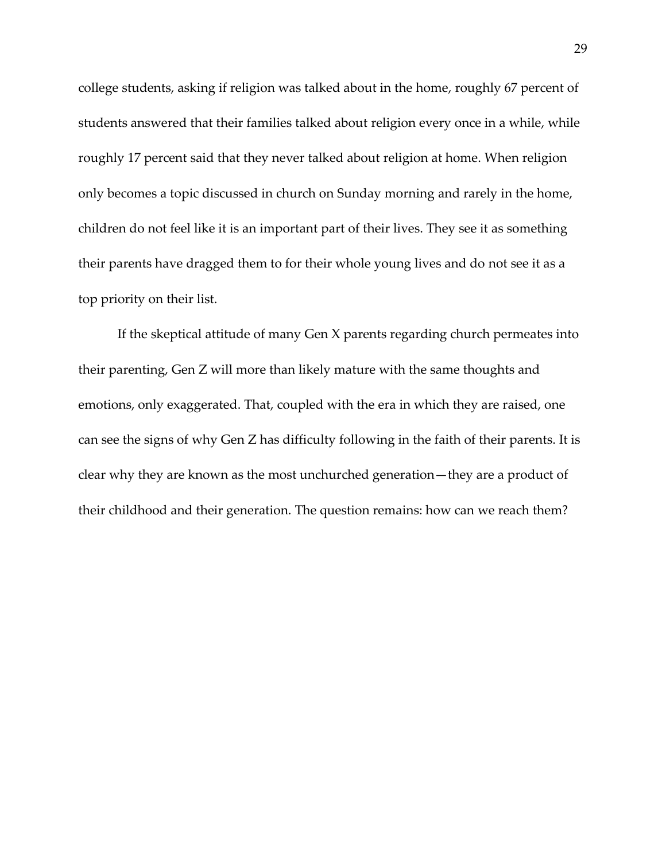college students, asking if religion was talked about in the home, roughly 67 percent of students answered that their families talked about religion every once in a while, while roughly 17 percent said that they never talked about religion at home. When religion only becomes a topic discussed in church on Sunday morning and rarely in the home, children do not feel like it is an important part of their lives. They see it as something their parents have dragged them to for their whole young lives and do not see it as a top priority on their list.

If the skeptical attitude of many Gen X parents regarding church permeates into their parenting, Gen Z will more than likely mature with the same thoughts and emotions, only exaggerated. That, coupled with the era in which they are raised, one can see the signs of why Gen Z has difficulty following in the faith of their parents. It is clear why they are known as the most unchurched generation—they are a product of their childhood and their generation. The question remains: how can we reach them?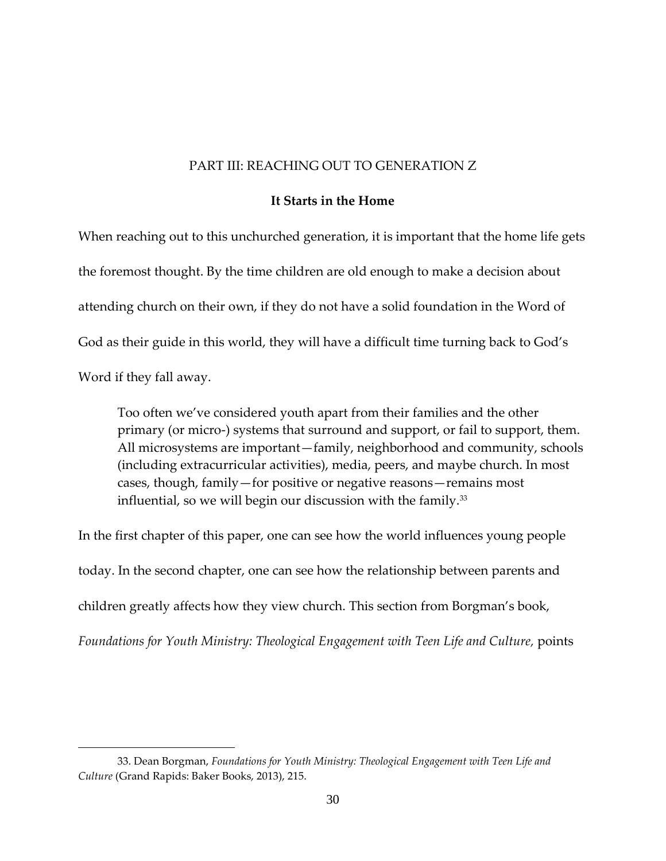#### PART III: REACHING OUT TO GENERATION Z

#### **It Starts in the Home**

When reaching out to this unchurched generation, it is important that the home life gets the foremost thought. By the time children are old enough to make a decision about attending church on their own, if they do not have a solid foundation in the Word of God as their guide in this world, they will have a difficult time turning back to God's Word if they fall away.

Too often we've considered youth apart from their families and the other primary (or micro-) systems that surround and support, or fail to support, them. All microsystems are important—family, neighborhood and community, schools (including extracurricular activities), media, peers, and maybe church. In most cases, though, family—for positive or negative reasons—remains most influential, so we will begin our discussion with the family.<sup>33</sup>

In the first chapter of this paper, one can see how the world influences young people today. In the second chapter, one can see how the relationship between parents and children greatly affects how they view church. This section from Borgman's book, *Foundations for Youth Ministry: Theological Engagement with Teen Life and Culture,* points

<sup>33.</sup> Dean Borgman, *Foundations for Youth Ministry: Theological Engagement with Teen Life and Culture* (Grand Rapids: Baker Books, 2013), 215.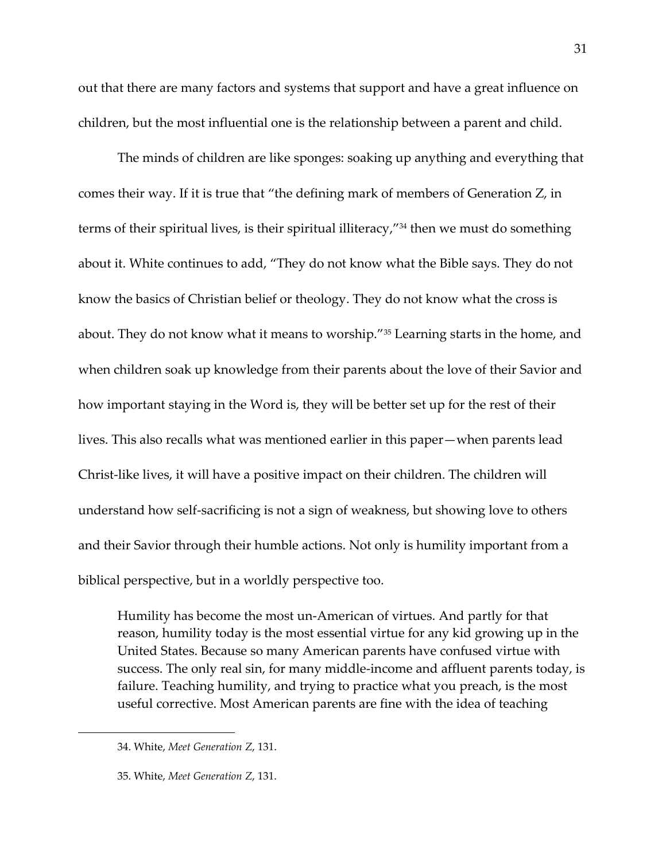out that there are many factors and systems that support and have a great influence on children, but the most influential one is the relationship between a parent and child.

The minds of children are like sponges: soaking up anything and everything that comes their way. If it is true that "the defining mark of members of Generation Z, in terms of their spiritual lives, is their spiritual illiteracy,"<sup>34</sup> then we must do something about it. White continues to add, "They do not know what the Bible says. They do not know the basics of Christian belief or theology. They do not know what the cross is about. They do not know what it means to worship."<sup>35</sup> Learning starts in the home, and when children soak up knowledge from their parents about the love of their Savior and how important staying in the Word is, they will be better set up for the rest of their lives. This also recalls what was mentioned earlier in this paper—when parents lead Christ-like lives, it will have a positive impact on their children. The children will understand how self-sacrificing is not a sign of weakness, but showing love to others and their Savior through their humble actions. Not only is humility important from a biblical perspective, but in a worldly perspective too.

Humility has become the most un-American of virtues. And partly for that reason, humility today is the most essential virtue for any kid growing up in the United States. Because so many American parents have confused virtue with success. The only real sin, for many middle-income and affluent parents today, is failure. Teaching humility, and trying to practice what you preach, is the most useful corrective. Most American parents are fine with the idea of teaching

<sup>34.</sup> White, *Meet Generation Z*, 131.

<sup>35.</sup> White, *Meet Generation Z*, 131.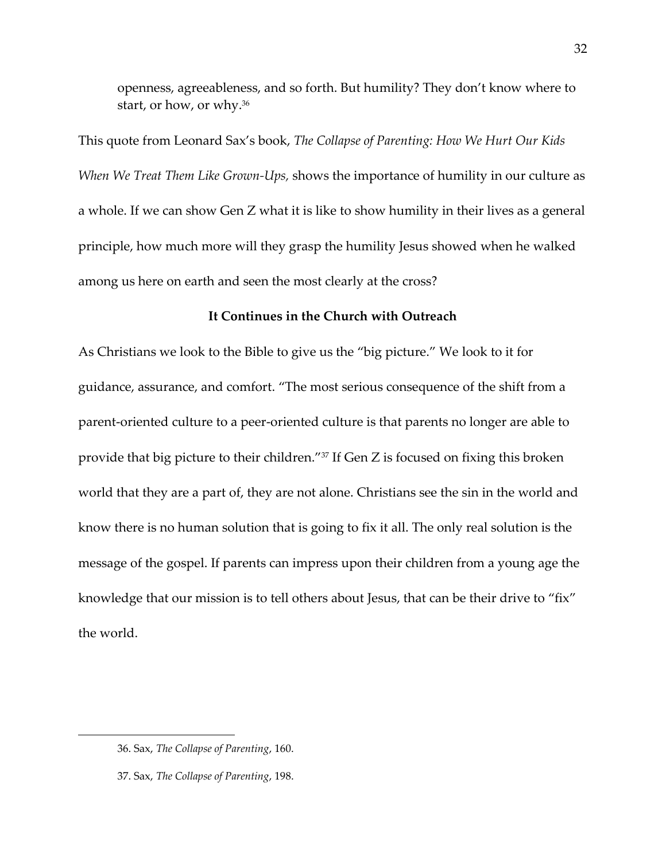openness, agreeableness, and so forth. But humility? They don't know where to start, or how, or why.<sup>36</sup>

This quote from Leonard Sax's book, *The Collapse of Parenting: How We Hurt Our Kids When We Treat Them Like Grown-Ups,* shows the importance of humility in our culture as a whole. If we can show Gen Z what it is like to show humility in their lives as a general principle, how much more will they grasp the humility Jesus showed when he walked among us here on earth and seen the most clearly at the cross?

### **It Continues in the Church with Outreach**

As Christians we look to the Bible to give us the "big picture." We look to it for guidance, assurance, and comfort. "The most serious consequence of the shift from a parent-oriented culture to a peer-oriented culture is that parents no longer are able to provide that big picture to their children."<sup>37</sup> If Gen Z is focused on fixing this broken world that they are a part of, they are not alone. Christians see the sin in the world and know there is no human solution that is going to fix it all. The only real solution is the message of the gospel. If parents can impress upon their children from a young age the knowledge that our mission is to tell others about Jesus, that can be their drive to "fix" the world.

<sup>36.</sup> Sax, *The Collapse of Parenting*, 160.

<sup>37.</sup> Sax, *The Collapse of Parenting*, 198.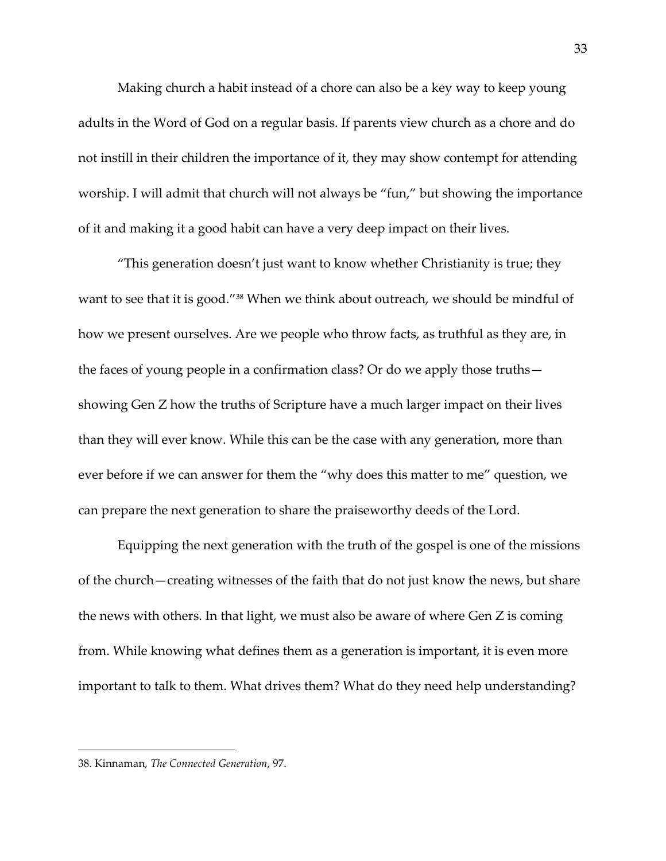Making church a habit instead of a chore can also be a key way to keep young adults in the Word of God on a regular basis. If parents view church as a chore and do not instill in their children the importance of it, they may show contempt for attending worship. I will admit that church will not always be "fun," but showing the importance of it and making it a good habit can have a very deep impact on their lives.

"This generation doesn't just want to know whether Christianity is true; they want to see that it is good."<sup>38</sup> When we think about outreach, we should be mindful of how we present ourselves. Are we people who throw facts, as truthful as they are, in the faces of young people in a confirmation class? Or do we apply those truths showing Gen Z how the truths of Scripture have a much larger impact on their lives than they will ever know. While this can be the case with any generation, more than ever before if we can answer for them the "why does this matter to me" question, we can prepare the next generation to share the praiseworthy deeds of the Lord.

Equipping the next generation with the truth of the gospel is one of the missions of the church—creating witnesses of the faith that do not just know the news, but share the news with others. In that light, we must also be aware of where Gen Z is coming from. While knowing what defines them as a generation is important, it is even more important to talk to them. What drives them? What do they need help understanding?

<sup>38.</sup> Kinnaman, *The Connected Generation*, 97.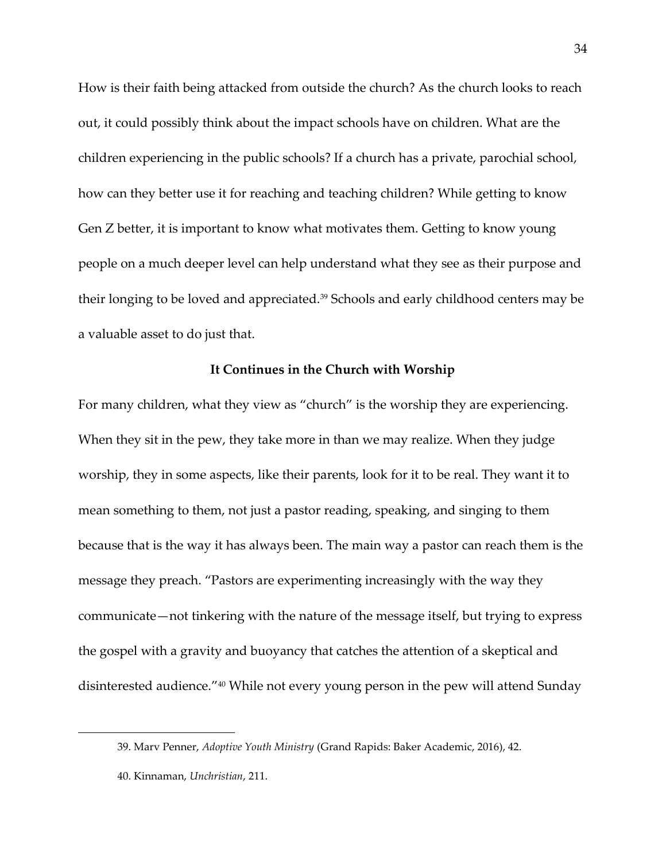How is their faith being attacked from outside the church? As the church looks to reach out, it could possibly think about the impact schools have on children. What are the children experiencing in the public schools? If a church has a private, parochial school, how can they better use it for reaching and teaching children? While getting to know Gen Z better, it is important to know what motivates them. Getting to know young people on a much deeper level can help understand what they see as their purpose and their longing to be loved and appreciated.<sup>39</sup> Schools and early childhood centers may be a valuable asset to do just that.

#### **It Continues in the Church with Worship**

For many children, what they view as "church" is the worship they are experiencing. When they sit in the pew, they take more in than we may realize. When they judge worship, they in some aspects, like their parents, look for it to be real. They want it to mean something to them, not just a pastor reading, speaking, and singing to them because that is the way it has always been. The main way a pastor can reach them is the message they preach. "Pastors are experimenting increasingly with the way they communicate—not tinkering with the nature of the message itself, but trying to express the gospel with a gravity and buoyancy that catches the attention of a skeptical and disinterested audience." <sup>40</sup> While not every young person in the pew will attend Sunday

<sup>39.</sup> Marv Penner, *Adoptive Youth Ministry* (Grand Rapids: Baker Academic, 2016), 42.

<sup>40.</sup> Kinnaman, *Unchristian*, 211.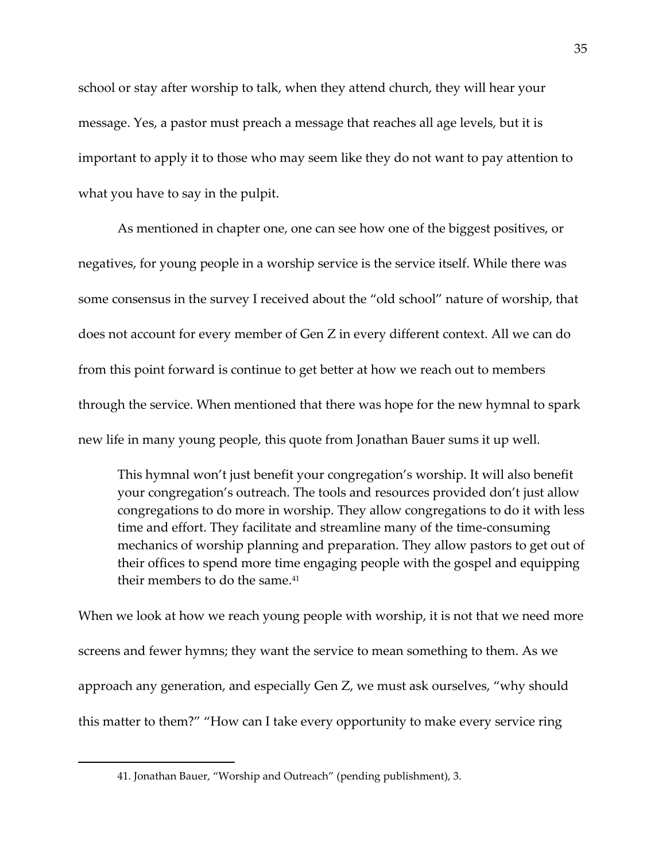school or stay after worship to talk, when they attend church, they will hear your message. Yes, a pastor must preach a message that reaches all age levels, but it is important to apply it to those who may seem like they do not want to pay attention to what you have to say in the pulpit.

As mentioned in chapter one, one can see how one of the biggest positives, or negatives, for young people in a worship service is the service itself. While there was some consensus in the survey I received about the "old school" nature of worship, that does not account for every member of Gen Z in every different context. All we can do from this point forward is continue to get better at how we reach out to members through the service. When mentioned that there was hope for the new hymnal to spark new life in many young people, this quote from Jonathan Bauer sums it up well.

This hymnal won't just benefit your congregation's worship. It will also benefit your congregation's outreach. The tools and resources provided don't just allow congregations to do more in worship. They allow congregations to do it with less time and effort. They facilitate and streamline many of the time-consuming mechanics of worship planning and preparation. They allow pastors to get out of their offices to spend more time engaging people with the gospel and equipping their members to do the same.<sup>41</sup>

When we look at how we reach young people with worship, it is not that we need more screens and fewer hymns; they want the service to mean something to them. As we approach any generation, and especially Gen Z, we must ask ourselves, "why should this matter to them?" "How can I take every opportunity to make every service ring

<sup>41.</sup> Jonathan Bauer, "Worship and Outreach" (pending publishment), 3.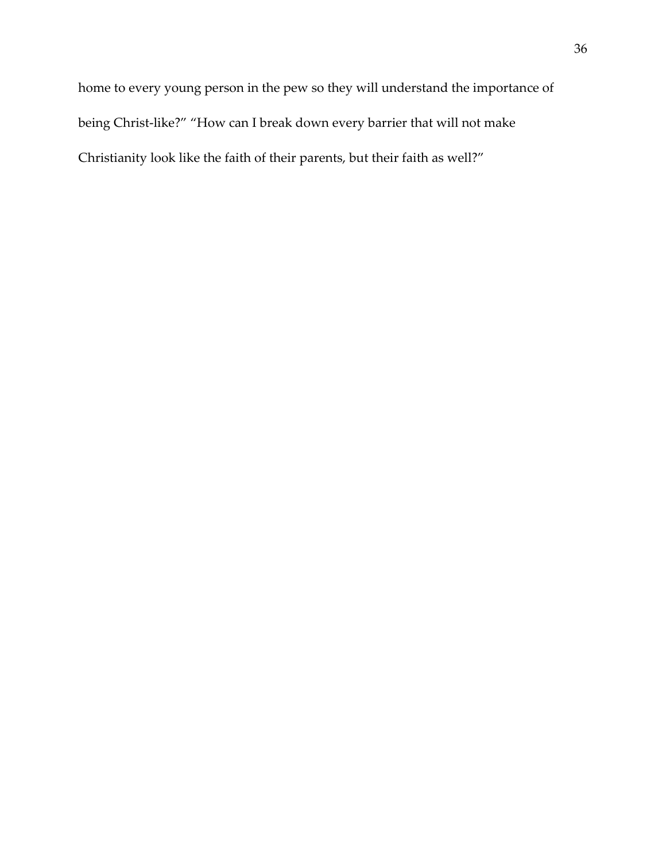home to every young person in the pew so they will understand the importance of being Christ-like?" "How can I break down every barrier that will not make Christianity look like the faith of their parents, but their faith as well?"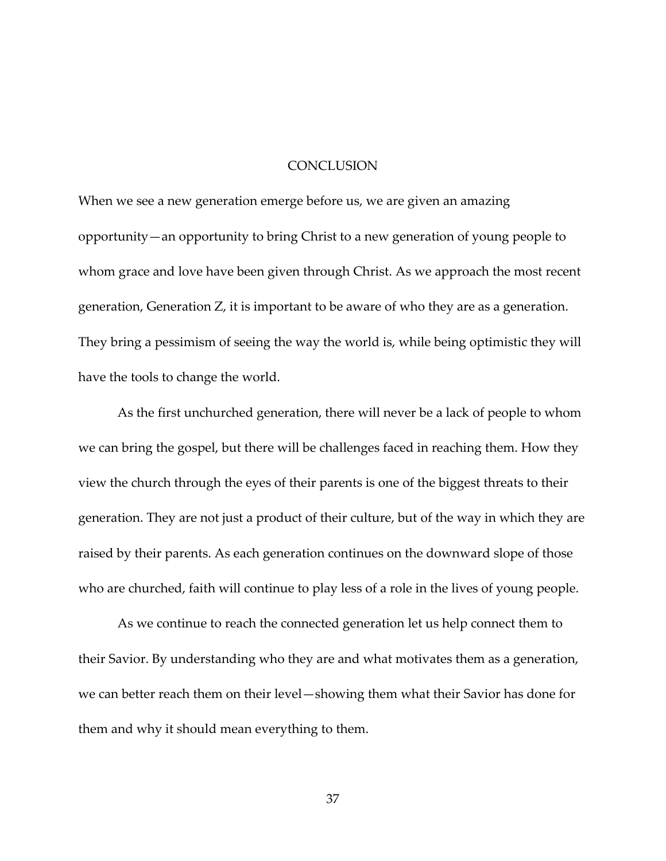#### **CONCLUSION**

When we see a new generation emerge before us, we are given an amazing opportunity—an opportunity to bring Christ to a new generation of young people to whom grace and love have been given through Christ. As we approach the most recent generation, Generation Z, it is important to be aware of who they are as a generation. They bring a pessimism of seeing the way the world is, while being optimistic they will have the tools to change the world.

As the first unchurched generation, there will never be a lack of people to whom we can bring the gospel, but there will be challenges faced in reaching them. How they view the church through the eyes of their parents is one of the biggest threats to their generation. They are not just a product of their culture, but of the way in which they are raised by their parents. As each generation continues on the downward slope of those who are churched, faith will continue to play less of a role in the lives of young people.

As we continue to reach the connected generation let us help connect them to their Savior. By understanding who they are and what motivates them as a generation, we can better reach them on their level—showing them what their Savior has done for them and why it should mean everything to them.